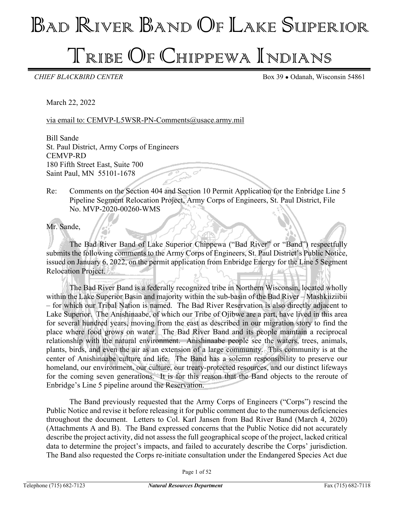# BAD RIVER BAND OF LAKE SUPERIOR

## TRIBE OF CHIPPEWA INDIANS

**CHIEF BLACKBIRD CENTER** Box 39 • Odanah, Wisconsin 54861

March 22, 2022

via email to: CEMVP-L5WSR-PN-Comments@usace.army.mil

Bill Sande St. Paul District, Army Corps of Engineers CEMVP-RD 180 Fifth Street East, Suite 700 Saint Paul, MN 55101-1678

Re: Comments on the Section 404 and Section 10 Permit Application for the Enbridge Line 5 Pipeline Segment Relocation Project, Army Corps of Engineers, St. Paul District, File No. MVP-2020-00260-WMS

Mr. Sande,

The Bad River Band of Lake Superior Chippewa ("Bad River" or "Band") respectfully submits the following comments to the Army Corps of Engineers, St. Paul District's Public Notice, issued on January 6, 2022, on the permit application from Enbridge Energy for the Line 5 Segment Relocation Project.

The Bad River Band is a federally recognized tribe in Northern Wisconsin, located wholly within the Lake Superior Basin and majority within the sub-basin of the Bad River – Mashkiiziibii – for which our Tribal Nation is named. The Bad River Reservation is also directly adjacent to Lake Superior. The Anishinaabe, of which our Tribe of Ojibwe are a part, have lived in this area for several hundred years, moving from the east as described in our migration story to find the place where food grows on water. The Bad River Band and its people maintain a reciprocal relationship with the natural environment. Anishinaabe people see the waters, trees, animals, plants, birds, and even the air as an extension of a large community. This community is at the center of Anishinaabe culture and life. The Band has a solemn responsibility to preserve our homeland, our environment, our culture, our treaty-protected resources, and our distinct lifeways for the coming seven generations. It is for this reason that the Band objects to the reroute of Enbridge's Line 5 pipeline around the Reservation.

The Band previously requested that the Army Corps of Engineers ("Corps") rescind the Public Notice and revise it before releasing it for public comment due to the numerous deficiencies throughout the document. Letters to Col. Karl Jansen from Bad River Band (March 4, 2020) (Attachments A and B). The Band expressed concerns that the Public Notice did not accurately describe the project activity, did not assess the full geographical scope of the project, lacked critical data to determine the project's impacts, and failed to accurately describe the Corps' jurisdiction. The Band also requested the Corps re-initiate consultation under the Endangered Species Act due

Page 1 of 52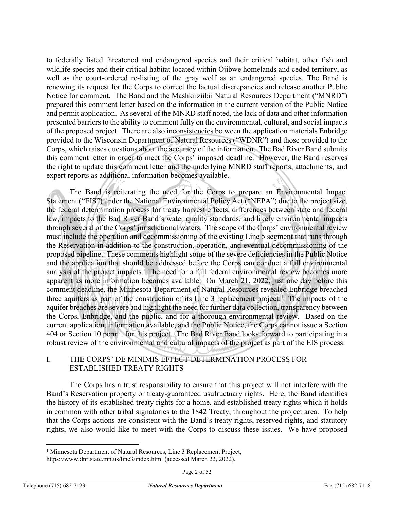to federally listed threatened and endangered species and their critical habitat, other fish and wildlife species and their critical habitat located within Ojibwe homelands and ceded territory, as well as the court-ordered re-listing of the gray wolf as an endangered species. The Band is renewing its request for the Corps to correct the factual discrepancies and release another Public Notice for comment. The Band and the Mashkiiziibii Natural Resources Department ("MNRD") prepared this comment letter based on the information in the current version of the Public Notice and permit application. As several of the MNRD staff noted, the lack of data and other information presented barriers to the ability to comment fully on the environmental, cultural, and social impacts of the proposed project. There are also inconsistencies between the application materials Enbridge provided to the Wisconsin Department of Natural Resources ("WDNR") and those provided to the Corps, which raises questions about the accuracy of the information. The Bad River Band submits this comment letter in order to meet the Corps' imposed deadline. However, the Band reserves the right to update this comment letter and the underlying MNRD staff reports, attachments, and expert reports as additional information becomes available.

The Band is reiterating the need for the Corps to prepare an Environmental Impact Statement ("EIS") under the National Environmental Policy Act ("NEPA") due to the project size, the federal determination process for treaty harvest effects, differences between state and federal law, impacts to the Bad River Band's water quality standards, and likely environmental impacts through several of the Corps' jurisdictional waters. The scope of the Corps' environmental review must include the operation and decommissioning of the existing Line 5 segment that runs through the Reservation in addition to the construction, operation, and eventual decommissioning of the proposed pipeline. These comments highlight some of the severe deficiencies in the Public Notice and the application that should be addressed before the Corps can conduct a full environmental analysis of the project impacts. The need for a full federal environmental review becomes more apparent as more information becomes available. On March 21, 2022, just one day before this comment deadline, the Minnesota Department of Natural Resources revealed Enbridge breached three aquifers as part of the construction of its Line 3 replacement project.<sup>[1](#page-1-0)</sup> The impacts of the aquifer breaches are severe and highlight the need for further data collection, transparency between the Corps, Enbridge, and the public, and for a thorough environmental review. Based on the current application, information available, and the Public Notice, the Corps cannot issue a Section 404 or Section 10 permit for this project. The Bad River Band looks forward to participating in a robust review of the environmental and cultural impacts of the project as part of the EIS process.

#### I. THE CORPS' DE MINIMIS EFFECT DETERMINATION PROCESS FOR ESTABLISHED TREATY RIGHTS

The Corps has a trust responsibility to ensure that this project will not interfere with the Band's Reservation property or treaty-guaranteed usufructuary rights. Here, the Band identifies the history of its established treaty rights for a home, and established treaty rights which it holds in common with other tribal signatories to the 1842 Treaty, throughout the project area. To help that the Corps actions are consistent with the Band's treaty rights, reserved rights, and statutory rights, we also would like to meet with the Corps to discuss these issues. We have proposed

<span id="page-1-0"></span><sup>&</sup>lt;sup>1</sup> Minnesota Department of Natural Resources, Line 3 Replacement Project,

https://www.dnr.state.mn.us/line3/index.html (accessed March 22, 2022).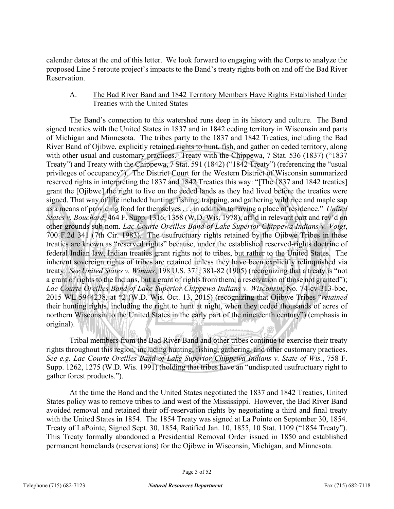calendar dates at the end of this letter. We look forward to engaging with the Corps to analyze the proposed Line 5 reroute project's impacts to the Band's treaty rights both on and off the Bad River Reservation.

## A. The Bad River Band and 1842 Territory Members Have Rights Established Under Treaties with the United States

The Band's connection to this watershed runs deep in its history and culture. The Band signed treaties with the United States in 1837 and in 1842 ceding territory in Wisconsin and parts of Michigan and Minnesota. The tribes party to the 1837 and 1842 Treaties, including the Bad River Band of Ojibwe, explicitly retained rights to hunt, fish, and gather on ceded territory, along with other usual and customary practices. Treaty with the Chippewa, 7 Stat. 536 (1837) ("1837 Treaty") and Treaty with the Chippewa, 7 Stat. 591 (1842) ("1842 Treaty") (referencing the "usual privileges of occupancy"). The District Court for the Western District of Wisconsin summarized reserved rights in interpreting the 1837 and 1842 Treaties this way: "[The 1837 and 1842 treaties] grant the [Ojibwe] the right to live on the ceded lands as they had lived before the treaties were signed. That way of life included hunting, fishing, trapping, and gathering wild rice and maple sap as a means of providing food for themselves . . . in addition to having a place of residence." *United States v. Bouchard*, 464 F. Supp. 1316, 1358 (W.D. Wis. 1978), aff'd in relevant part and rev'd on other grounds sub nom. *Lac Courte Oreilles Band of Lake Superior Chippewa Indians v. Voigt*, 700 F.2d 341 (7th Cir. 1983). The usufructuary rights retained by the Ojibwe Tribes in these treaties are known as "reserved rights" because, under the established reserved-rights doctrine of federal Indian law, Indian treaties grant rights not to tribes, but rather to the United States. The inherent sovereign rights of tribes are retained unless they have been explicitly relinquished via treaty. *See United States v. Winans*, 198 U.S. 371, 381-82 (1905) (recognizing that a treaty is "not a grant of rights to the Indians, but a grant of rights from them, a reservation of those not granted"); *Lac Courte Oreilles Band of Lake Superior Chippewa Indians v. Wisconsin*, No. 74-cv-313-bbc, 2015 WL 5944238, at \*2 (W.D. Wis. Oct. 13, 2015) (recognizing that Ojibwe Tribes "*retained*  their hunting rights, including the right to hunt at night, when they ceded thousands of acres of northern Wisconsin to the United States in the early part of the nineteenth century") (emphasis in original).

Tribal members from the Bad River Band and other tribes continue to exercise their treaty rights throughout this region, including hunting, fishing, gathering, and other customary practices. *See e.g. Lac Courte Oreilles Band of Lake Superior Chippewa Indians v. State of Wis.*, 758 F. Supp. 1262, 1275 (W.D. Wis. 1991) (holding that tribes have an "undisputed usufructuary right to gather forest products.").

At the time the Band and the United States negotiated the 1837 and 1842 Treaties, United States policy was to remove tribes to land west of the Mississippi. However, the Bad River Band avoided removal and retained their off-reservation rights by negotiating a third and final treaty with the United States in 1854. The 1854 Treaty was signed at La Pointe on September 30, 1854. Treaty of LaPointe, Signed Sept. 30, 1854, Ratified Jan. 10, 1855, 10 Stat. 1109 ("1854 Treaty"). This Treaty formally abandoned a Presidential Removal Order issued in 1850 and established permanent homelands (reservations) for the Ojibwe in Wisconsin, Michigan, and Minnesota.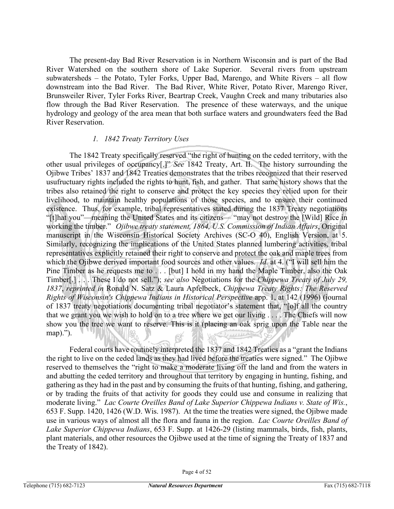The present-day Bad River Reservation is in Northern Wisconsin and is part of the Bad River Watershed on the southern shore of Lake Superior. Several rivers from upstream subwatersheds – the Potato, Tyler Forks, Upper Bad, Marengo, and White Rivers – all flow downstream into the Bad River. The Bad River, White River, Potato River, Marengo River, Brunsweiler River, Tyler Forks River, Beartrap Creek, Vaughn Creek and many tributaries also flow through the Bad River Reservation. The presence of these waterways, and the unique hydrology and geology of the area mean that both surface waters and groundwaters feed the Bad River Reservation.

#### *1. 1842 Treaty Territory Uses*

The 1842 Treaty specifically reserved "the right of hunting on the ceded territory, with the other usual privileges of occupancy[.]" *See* 1842 Treaty, Art. II. The history surrounding the Ojibwe Tribes' 1837 and 1842 Treaties demonstrates that the tribes recognized that their reserved usufructuary rights included the rights to hunt, fish, and gather. That same history shows that the tribes also retained the right to conserve and protect the key species they relied upon for their livelihood, to maintain healthy populations of those species, and to ensure their continued existence. Thus, for example, tribal representatives stated during the 1837 Treaty negotiations "[t]hat you"—meaning the United States and its citizens— "may not destroy the [Wild] Rice in working the timber." *Ojibwe treaty statement, 1864, U.S. Commission of Indian Affairs*, Original manuscript in the Wisconsin Historical Society Archives (SC-O 40), English Version, at 5. Similarly, recognizing the implications of the United States planned lumbering activities, tribal representatives explicitly retained their right to conserve and protect the oak and maple trees from which the Ojibwe derived important food sources and other values. *Id.* at 4. ("I will sell him the Pine Timber as he requests me to . . . [but] I hold in my hand the Maple Timber, also the Oak Timber[.] . . . These I do not sell."); *see also* Negotiations for the *Chippewa Treaty of July 29, 1837*, *reprinted in* Ronald N. Satz & Laura Apfelbeck, *Chippewa Treaty Rights: The Reserved Rights of Wisconsin's Chippewa Indians in Historical Perspective* app. 1, at 142 (1996) (journal of 1837 treaty negotiations documenting tribal negotiator's statement that, "[o]f all the country that we grant you we wish to hold on to a tree where we get our living . . . . The Chiefs will now show you the tree we want to reserve. This is it (placing an oak sprig upon the Table near the map).").

Federal courts have routinely interpreted the 1837 and 1842 Treaties as a "grant the Indians the right to live on the ceded lands as they had lived before the treaties were signed." The Ojibwe reserved to themselves the "right to make a moderate living off the land and from the waters in and abutting the ceded territory and throughout that territory by engaging in hunting, fishing, and gathering as they had in the past and by consuming the fruits of that hunting, fishing, and gathering, or by trading the fruits of that activity for goods they could use and consume in realizing that moderate living." *Lac Courte Oreilles Band of Lake Superior Chippewa Indians v. State of Wis.*, 653 F. Supp. 1420, 1426 (W.D. Wis. 1987). At the time the treaties were signed, the Ojibwe made use in various ways of almost all the flora and fauna in the region. *Lac Courte Oreilles Band of Lake Superior Chippewa Indians*, 653 F. Supp. at 1426-29 (listing mammals, birds, fish, plants, plant materials, and other resources the Ojibwe used at the time of signing the Treaty of 1837 and the Treaty of 1842).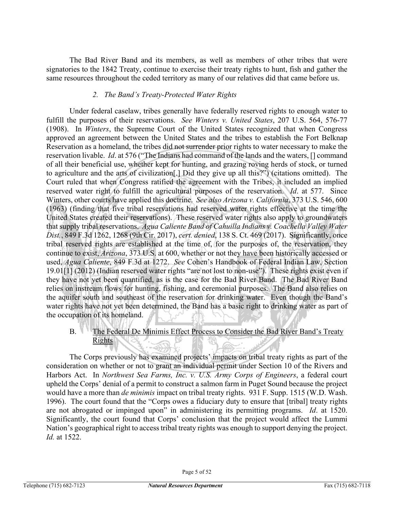The Bad River Band and its members, as well as members of other tribes that were signatories to the 1842 Treaty, continue to exercise their treaty rights to hunt, fish and gather the same resources throughout the ceded territory as many of our relatives did that came before us.

## *2. The Band's Treaty-Protected Water Rights*

Under federal caselaw, tribes generally have federally reserved rights to enough water to fulfill the purposes of their reservations. *See Winters v. United States*, 207 U.S. 564, 576-77 (1908). In *Winters*, the Supreme Court of the United States recognized that when Congress approved an agreement between the United States and the tribes to establish the Fort Belknap Reservation as a homeland, the tribes did not surrender prior rights to water necessary to make the reservation livable. *Id*. at 576 ("The Indians had command of the lands and the waters, [] command of all their beneficial use, whether kept for hunting, and grazing roving herds of stock, or turned to agriculture and the arts of civilization[.] Did they give up all this?") (citations omitted). The Court ruled that when Congress ratified the agreement with the Tribes, it included an implied reserved water right to fulfill the agricultural purposes of the reservation. *Id*. at 577. Since Winters, other courts have applied this doctrine. *See also Arizona v. California*, 373 U.S. 546, 600 (1963) (finding that five tribal reservations had reserved water rights effective at the time the United States created their reservations). These reserved water rights also apply to groundwaters that supply tribal reservations. *Agua Caliente Band of Cahuilla Indians v. Coachella Valley Water Dist.*, 849 F.3d 1262, 1268 (9th Cir. 2017), *cert. denied*, 138 S. Ct. 469 (2017). Significantly, once tribal reserved rights are established at the time of, for the purposes of, the reservation, they continue to exist, *Arizona*, 373 U.S. at 600, whether or not they have been historically accessed or used, *Agua Caliente*, 849 F.3d at 1272. *See* Cohen's Handbook of Federal Indian Law, Section 19.01[1] (2012) (Indian reserved water rights "are not lost to non-use"). These rights exist even if they have not yet been quantified, as is the case for the Bad River Band. The Bad River Band relies on instream flows for hunting, fishing, and ceremonial purposes. The Band also relies on the aquifer south and southeast of the reservation for drinking water. Even though the Band's water rights have not yet been determined, the Band has a basic right to drinking water as part of the occupation of its homeland.

B. The Federal De Minimis Effect Process to Consider the Bad River Band's Treaty Rights K -19

The Corps previously has examined projects' impacts on tribal treaty rights as part of the consideration on whether or not to grant an individual permit under Section 10 of the Rivers and Harbors Act. In *Northwest Sea Farms, Inc. v. U.S. Army Corps of Engineers*, a federal court upheld the Corps' denial of a permit to construct a salmon farm in Puget Sound because the project would have a more than *de minimis* impact on tribal treaty rights. 931 F. Supp. 1515 (W.D. Wash. 1996). The court found that the "Corps owes a fiduciary duty to ensure that [tribal] treaty rights are not abrogated or impinged upon" in administering its permitting programs. *Id*. at 1520. Significantly, the court found that Corps' conclusion that the project would affect the Lummi Nation's geographical right to access tribal treaty rights was enough to support denying the project. *Id.* at 1522.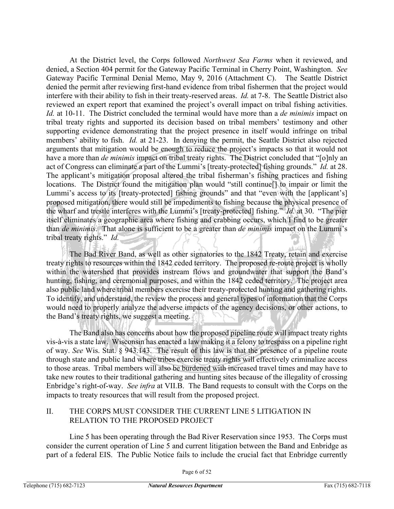At the District level, the Corps followed *Northwest Sea Farms* when it reviewed, and denied, a Section 404 permit for the Gateway Pacific Terminal in Cherry Point, Washington. *See*  Gateway Pacific Terminal Denial Memo, May 9, 2016 (Attachment C). The Seattle District denied the permit after reviewing first-hand evidence from tribal fishermen that the project would interfere with their ability to fish in their treaty-reserved areas. *Id.* at 7-8. The Seattle District also reviewed an expert report that examined the project's overall impact on tribal fishing activities. *Id.* at 10-11. The District concluded the terminal would have more than a *de minimis* impact on tribal treaty rights and supported its decision based on tribal members' testimony and other supporting evidence demonstrating that the project presence in itself would infringe on tribal members' ability to fish. *Id.* at 21-23. In denying the permit, the Seattle District also rejected arguments that mitigation would be enough to reduce the project's impacts so that it would not have a more than *de minimis* impact on tribal treaty rights. The District concluded that "[o]nly an act of Congress can eliminate a part of the Lummi's [treaty-protected] fishing grounds." *Id.* at 28. The applicant's mitigation proposal altered the tribal fisherman's fishing practices and fishing locations. The District found the mitigation plan would "still continue[] to impair or limit the Lummi's access to its [treaty-protected] fishing grounds" and that "even with the [applicant's] proposed mitigation, there would still be impediments to fishing because the physical presence of the wharf and trestle interferes with the Lummi's [treaty-protected] fishing." *Id.* at 30. "The pier itself eliminates a geographic area where fishing and crabbing occurs, which I find to be greater than *de minimis*. That alone is sufficient to be a greater than *de minimis* impact on the Lummi's tribal treaty rights." *Id.*

a is ulli The Bad River Band, as well as other signatories to the 1842 Treaty, retain and exercise treaty rights to resources within the 1842 ceded territory. The proposed re-route project is wholly within the watershed that provides instream flows and groundwater that support the Band's hunting, fishing, and ceremonial purposes, and within the 1842 ceded territory. The project area also public land where tribal members exercise their treaty-protected hunting and gathering rights. To identify, and understand, the review the process and general types of information that the Corps would need to properly analyze the adverse impacts of the agency decisions, or other actions, to the Band's treaty rights, we suggest a meeting.

The Band also has concerns about how the proposed pipeline route will impact treaty rights vis-à-vis a state law. Wisconsin has enacted a law making it a felony to trespass on a pipeline right of way. *See* Wis. Stat. § 943.143. The result of this law is that the presence of a pipeline route through state and public land where tribes exercise treaty rights will effectively criminalize access to those areas. Tribal members will also be burdened with increased travel times and may have to take new routes to their traditional gathering and hunting sites because of the illegality of crossing Enbridge's right-of-way. *See infra* at VII.B.The Band requests to consult with the Corps on the impacts to treaty resources that will result from the proposed project.

## II. THE CORPS MUST CONSIDER THE CURRENT LINE 5 LITIGATION IN RELATION TO THE PROPOSED PROJECT

Line 5 has been operating through the Bad River Reservation since 1953. The Corps must consider the current operation of Line 5 and current litigation between the Band and Enbridge as part of a federal EIS. The Public Notice fails to include the crucial fact that Enbridge currently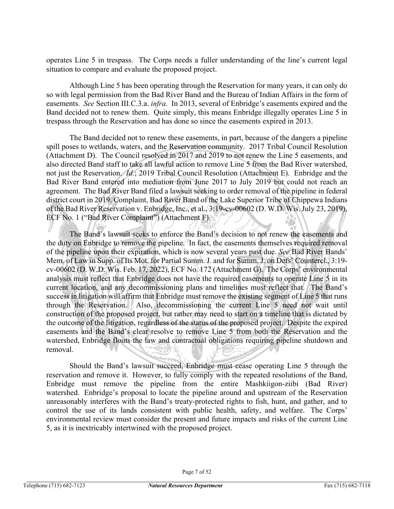operates Line 5 in trespass. The Corps needs a fuller understanding of the line's current legal situation to compare and evaluate the proposed project.

Although Line 5 has been operating through the Reservation for many years, it can only do so with legal permission from the Bad River Band and the Bureau of Indian Affairs in the form of easements. *See* Section III.C.3.a. *infra*. In 2013, several of Enbridge's easements expired and the Band decided not to renew them. Quite simply, this means Enbridge illegally operates Line 5 in trespass through the Reservation and has done so since the easements expired in 2013.

The Band decided not to renew these easements, in part, because of the dangers a pipeline spill poses to wetlands, waters, and the Reservation community. 2017 Tribal Council Resolution (Attachment D). The Council resolved in 2017 and 2019 to not renew the Line 5 easements, and also directed Band staff to take all lawful action to remove Line 5 from the Bad River watershed, not just the Reservation. *Id.*; 2019 Tribal Council Resolution (Attachment E). Enbridge and the Bad River Band entered into mediation from June 2017 to July 2019 but could not reach an agreement. The Bad River Band filed a lawsuit seeking to order removal of the pipeline in federal district court in 2019. Complaint, Bad River Band of the Lake Superior Tribe of Chippewa Indians of the Bad River Reservation v. Enbridge, Inc., et al., 3:19-cv-00602 (D. W.D. Wis. July 23, 2019), ECF No. 1 ("Bad River Complaint") (Attachment F).

The Band's lawsuit seeks to enforce the Band's decision to not renew the easements and the duty on Enbridge to remove the pipeline. In fact, the easements themselves required removal of the pipeline upon their expiration, which is now several years past due. *See* Bad River Bands' Mem. of Law in Supp. of Its Mot. for Partial Summ. J. and for Summ. J. on Defs' Countercl., 3:19 cv-00602 (D. W.D. Wis. Feb. 17, 2022), ECF No. 172 (Attachment G). The Corps' environmental analysis must reflect that Enbridge does not have the required easements to operate Line 5 in its current location, and any decommissioning plans and timelines must reflect that. The Band's success in litigation will affirm that Enbridge must remove the existing segment of Line 5 that runs through the Reservation. Also, decommissioning the current Line 5 need not wait until construction of the proposed project, but rather may need to start on a timeline that is dictated by the outcome of the litigation, regardless of the status of the proposed project. Despite the expired easements and the Band's clear resolve to remove Line 5 from both the Reservation and the watershed, Enbridge flouts the law and contractual obligations requiring pipeline shutdown and removal.

Should the Band's lawsuit succeed, Enbridge must cease operating Line 5 through the reservation and remove it. However, to fully comply with the repeated resolutions of the Band, Enbridge must remove the pipeline from the entire Mashkiigon-ziibi (Bad River) watershed. Enbridge's proposal to locate the pipeline around and upstream of the Reservation unreasonably interferes with the Band's treaty-protected rights to fish, hunt, and gather, and to control the use of its lands consistent with public health, safety, and welfare. The Corps' environmental review must consider the present and future impacts and risks of the current Line 5, as it is inextricably intertwined with the proposed project.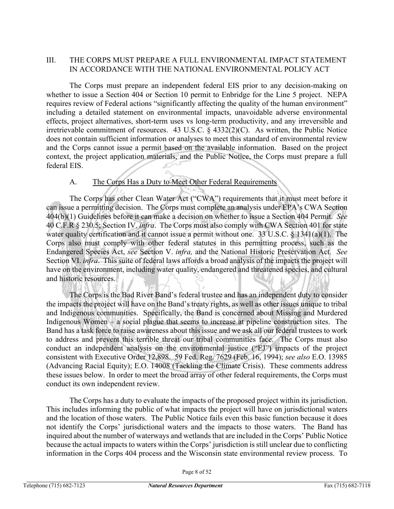## III. THE CORPS MUST PREPARE A FULL ENVIRONMENTAL IMPACT STATEMENT IN ACCORDANCE WITH THE NATIONAL ENVIRONMENTAL POLICY ACT

The Corps must prepare an independent federal EIS prior to any decision-making on whether to issue a Section 404 or Section 10 permit to Enbridge for the Line 5 project. NEPA requires review of Federal actions "significantly affecting the quality of the human environment" including a detailed statement on environmental impacts, unavoidable adverse environmental effects, project alternatives, short-term uses vs long-term productivity, and any irreversible and irretrievable commitment of resources. 43 U.S.C. § 4332(2)(C). As written, the Public Notice does not contain sufficient information or analyses to meet this standard of environmental review and the Corps cannot issue a permit based on the available information. Based on the project context, the project application materials, and the Public Notice, the Corps must prepare a full federal EIS.

## A. The Corps Has a Duty to Meet Other Federal Requirements

The Corps has other Clean Water Act ("CWA") requirements that it must meet before it can issue a permitting decision. The Corps must complete an analysis under EPA's CWA Section 404(b)(1) Guidelines before it can make a decision on whether to issue a Section 404 Permit. *See* 40 C.F.R § 230.5; Section IV. *infra*. The Corps must also comply with CWA Section 401 for state water quality certification and it cannot issue a permit without one. 33 U.S.C. § 1341(a)(1). The Corps also must comply with other federal statutes in this permitting process, such as the Endangered Species Act, *see* Section V. *infra,* and the National Historic Preservation Act. *See* Section VI. *infra*. This suite of federal laws affords a broad analysis of the impacts the project will have on the environment, including water quality, endangered and threatened species, and cultural and historic resources.

The Corps is the Bad River Band's federal trustee and has an independent duty to consider the impacts the project will have on the Band's treaty rights, as well as other issues unique to tribal and Indigenous communities. Specifically, the Band is concerned about Missing and Murdered Indigenous Women – a social plague that seems to increase at pipeline construction sites. The Band has a task force to raise awareness about this issue and we ask all our federal trustees to work to address and prevent this terrible threat our tribal communities face. The Corps must also conduct an independent analysis on the environmental justice ("EJ") impacts of the project consistent with Executive Order 12,898. 59 Fed. Reg. 7629 (Feb. 16, 1994); *see also* E.O. 13985 (Advancing Racial Equity); E.O. 14008 (Tackling the Climate Crisis). These comments address these issues below. In order to meet the broad array of other federal requirements, the Corps must conduct its own independent review.

The Corps has a duty to evaluate the impacts of the proposed project within its jurisdiction. This includes informing the public of what impacts the project will have on jurisdictional waters and the location of those waters. The Public Notice fails even this basic function because it does not identify the Corps' jurisdictional waters and the impacts to those waters. The Band has inquired about the number of waterways and wetlands that are included in the Corps' Public Notice because the actual impacts to waters within the Corps' jurisdiction is still unclear due to conflicting information in the Corps 404 process and the Wisconsin state environmental review process. To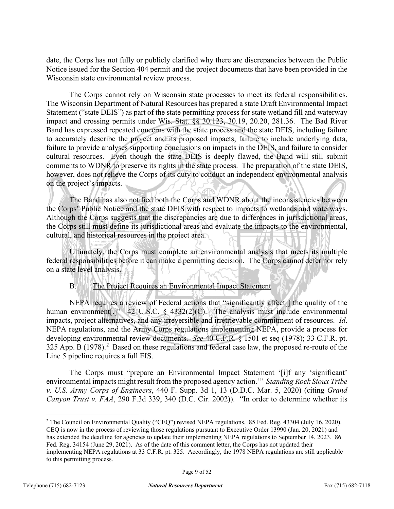date, the Corps has not fully or publicly clarified why there are discrepancies between the Public Notice issued for the Section 404 permit and the project documents that have been provided in the Wisconsin state environmental review process.

The Corps cannot rely on Wisconsin state processes to meet its federal responsibilities. The Wisconsin Department of Natural Resources has prepared a state Draft Environmental Impact Statement ("state DEIS") as part of the state permitting process for state wetland fill and waterway impact and crossing permits under Wis. Stat. §§ 30.123, 30.19, 20.20, 281.36. The Bad River Band has expressed repeated concerns with the state process and the state DEIS, including failure to accurately describe the project and its proposed impacts, failure to include underlying data, failure to provide analyses supporting conclusions on impacts in the DEIS, and failure to consider cultural resources. Even though the state DEIS is deeply flawed, the Band will still submit comments to WDNR to preserve its rights in the state process. The preparation of the state DEIS, however, does not relieve the Corps of its duty to conduct an independent environmental analysis on the project's impacts.

The Band has also notified both the Corps and WDNR about the inconsistencies between the Corps' Public Notice and the state DEIS with respect to impacts to wetlands and waterways. Although the Corps suggests that the discrepancies are due to differences in jurisdictional areas, the Corps still must define its jurisdictional areas and evaluate the impacts to the environmental, cultural, and historical resources in the project area.

Ultimately, the Corps must complete an environmental analysis that meets its multiple federal responsibilities before it can make a permitting decision. The Corps cannot defer nor rely on a state level analysis.

## B. The Project Requires an Environmental Impact Statement

NEPA requires a review of Federal actions that "significantly affect[] the quality of the human environment[.]" 42 U.S.C. § 4332(2)(C). The analysis must include environmental impacts, project alternatives, and any irreversible and irretrievable commitment of resources. *Id*. NEPA regulations, and the Army Corps regulations implementing NEPA, provide a process for developing environmental review documents. *See* 40 C.F.R. § 1501 et seq (1978); 33 C.F.R. pt. 3[2](#page-8-0)5 App. B  $(1978)$ .<sup>2</sup> Based on these regulations and federal case law, the proposed re-route of the Line 5 pipeline requires a full EIS.

The Corps must "prepare an Environmental Impact Statement '[i]f any 'significant' environmental impacts might result from the proposed agency action.'" *Standing Rock Sioux Tribe v. U.S. Army Corps of Engineers*, 440 F. Supp. 3d 1, 13 (D.D.C. Mar. 5, 2020) (citing *Grand Canyon Trust v. FAA*, 290 F.3d 339, 340 (D.C. Cir. 2002)). "In order to determine whether its

<span id="page-8-0"></span><sup>&</sup>lt;sup>2</sup> The Council on Environmental Quality ("CEQ") revised NEPA regulations. 85 Fed. Reg. 43304 (July 16, 2020). CEQ is now in the process of reviewing those regulations pursuant to Executive Order 13990 (Jan. 20, 2021) and has extended the deadline for agencies to update their implementing NEPA regulations to September 14, 2023. 86 Fed. Reg. 34154 (June 29, 2021). As of the date of this comment letter, the Corps has not updated their implementing NEPA regulations at 33 C.F.R. pt. 325. Accordingly, the 1978 NEPA regulations are still applicable to this permitting process.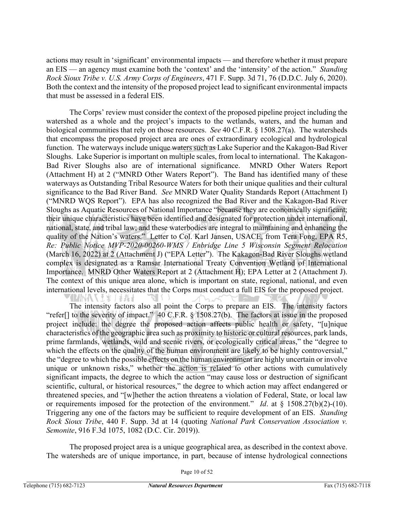actions may result in 'significant' environmental impacts — and therefore whether it must prepare an EIS — an agency must examine both the 'context' and the 'intensity' of the action." *Standing Rock Sioux Tribe v. U.S. Army Corps of Engineers*, 471 F. Supp. 3d 71, 76 (D.D.C. July 6, 2020). Both the context and the intensity of the proposed project lead to significant environmental impacts that must be assessed in a federal EIS.

The Corps' review must consider the context of the proposed pipeline project including the watershed as a whole and the project's impacts to the wetlands, waters, and the human and biological communities that rely on those resources. *See* 40 C.F.R. § 1508.27(a). The watersheds that encompass the proposed project area are ones of extraordinary ecological and hydrological function. The waterways include unique waters such as Lake Superior and the Kakagon-Bad River Sloughs. Lake Superior is important on multiple scales, from local to international. The Kakagon-Bad River Sloughs also are of international significance. MNRD Other Waters Report (Attachment H) at 2 ("MNRD Other Waters Report"). The Band has identified many of these waterways as Outstanding Tribal Resource Waters for both their unique qualities and their cultural significance to the Bad River Band. *See* MNRD Water Quality Standards Report (Attachment I) ("MNRD WQS Report"). EPA has also recognized the Bad River and the Kakagon-Bad River Sloughs as Aquatic Resources of National Importance "because they are economically significant; their unique characteristics have been identified and designated for protection under international, national, state, and tribal law; and these waterbodies are integral to maintaining and enhancing the quality of the Nation's waters." Letter to Col. Karl Jansen, USACE, from Tera Fong, EPA R5, *Re: Public Notice MVP-2020-00260-WMS / Enbridge Line 5 Wisconsin Segment Relocation* (March 16, 2022) at 2 (Attachment J) ("EPA Letter"). The Kakagon-Bad River Sloughs wetland complex is designated as a Ramsar International Treaty Convention Wetland of International Importance. MNRD Other Waters Report at 2 (Attachment H); EPA Letter at 2 (Attachment J). The context of this unique area alone, which is important on state, regional, national, and even international levels, necessitates that the Corps must conduct a full EIS for the proposed project. **AMINAN YEK JEAH** 

The intensity factors also all point the Corps to prepare an EIS. The intensity factors "refer<sup>[]</sup> to the severity of impact." 40 C.F.R. § 1508.27(b). The factors at issue in the proposed project include: the degree the proposed action affects public health or safety, "[u]nique characteristics of the geographic area such as proximity to historic or cultural resources, park lands, prime farmlands, wetlands, wild and scenic rivers, or ecologically critical areas," the "degree to which the effects on the quality of the human environment are likely to be highly controversial," the "degree to which the possible effects on the human environment are highly uncertain or involve unique or unknown risks," whether the action is related to other actions with cumulatively significant impacts, the degree to which the action "may cause loss or destruction of significant scientific, cultural, or historical resources," the degree to which action may affect endangered or threatened species, and "[w]hether the action threatens a violation of Federal, State, or local law or requirements imposed for the protection of the environment." *Id*. at § 1508.27(b)(2)-(10). Triggering any one of the factors may be sufficient to require development of an EIS. *Standing Rock Sioux Tribe*, 440 F. Supp. 3d at 14 (quoting *National Park Conservation Association v. Semonite*, 916 F.3d 1075, 1082 (D.C. Cir. 2019)).

The proposed project area is a unique geographical area, as described in the context above. The watersheds are of unique importance, in part, because of intense hydrological connections

Page 10 of 52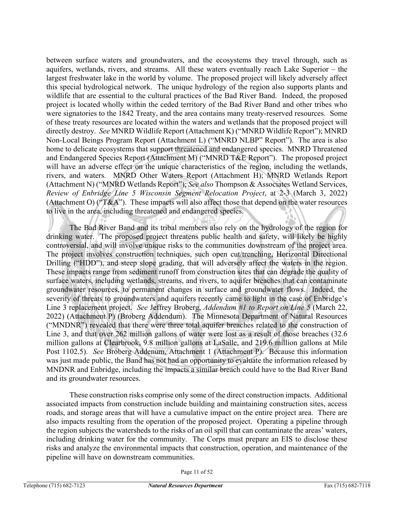between surface waters and groundwaters, and the ecosystems they travel through, such as aquifers, wetlands, rivers, and streams. All these waters eventually reach Lake Superior – the largest freshwater lake in the world by volume. The proposed project will likely adversely affect this special hydrological network. The unique hydrology of the region also supports plants and wildlife that are essential to the cultural practices of the Bad River Band. Indeed, the proposed project is located wholly within the ceded territory of the Bad River Band and other tribes who were signatories to the 1842 Treaty, and the area contains many treaty-reserved resources. Some of these treaty resources are located within the waters and wetlands that the proposed project will directly destroy. *See* MNRD Wildlife Report (Attachment K) ("MNRD Wildlife Report"); MNRD Non-Local Beings Program Report (Attachment L) ("MNRD NLBP" Report"). The area is also home to delicate ecosystems that support threatened and endangered species. MNRD Threatened and Endangered Species Report (Attachment M) ("MNRD T&E Report"). The proposed project will have an adverse effect on the unique characteristics of the region, including the wetlands, rivers, and waters. MNRD Other Waters Report (Attachment H); MNRD Wetlands Report (Attachment N) ("MNRD Wetlands Report"); *See also* Thompson & Associates Wetland Services, *Review of Enbridge Line 5 Wisconsin Segment Relocation Project*, at 2-3 (March 3, 2022) (Attachment O) ("T&A"). These impacts will also affect those that depend on the water resources to live in the area, including threatened and endangered species.

The Bad River Band and its tribal members also rely on the hydrology of the region for drinking water. The proposed project threatens public health and safety, will likely be highly controversial, and will involve unique risks to the communities downstream of the project area. The project involves construction techniques, such open cut/trenching, Horizontal Directional Drilling ("HDD"), and steep slope grading, that will adversely affect the waters in the region. These impacts range from sediment runoff from construction sites that can degrade the quality of surface waters, including wetlands, streams, and rivers, to aquifer breaches that can contaminate groundwater resources, to permanent changes in surface and groundwater flows. Indeed, the severity of threats to groundwaters and aquifers recently came to light in the case of Enbridge's Line 3 replacement project. *See* Jeffrey Broberg, *Addendum #1 to Report on Line 5* (March 22, 2022) (Attachment P) (Broberg Addendum). The Minnesota Department of Natural Resources ("MNDNR") revealed that there were three total aquifer breaches related to the construction of Line 3, and that over 262 million gallons of water were lost as a result of those breaches (32.6 million gallons at Clearbrook, 9.8 million gallons at LaSalle, and 219.6 million gallons at Mile Post 1102.5). *See* Broberg Addenum, Attachment 1 (Attachment P). Because this information was just made public, the Band has not had an opportunity to evaluate the information released by MNDNR and Enbridge, including the impacts a similar breach could have to the Bad River Band and its groundwater resources.

These construction risks comprise only some of the direct construction impacts. Additional associated impacts from construction include building and maintaining construction sites, access roads, and storage areas that will have a cumulative impact on the entire project area. There are also impacts resulting from the operation of the proposed project. Operating a pipeline through the region subjects the watersheds to the risks of an oil spill that can contaminate the areas' waters, including drinking water for the community. The Corps must prepare an EIS to disclose these risks and analyze the environmental impacts that construction, operation, and maintenance of the pipeline will have on downstream communities.

Page 11 of 52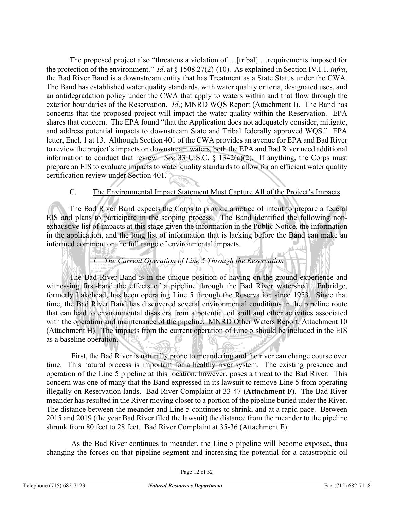The proposed project also "threatens a violation of …[tribal] …requirements imposed for the protection of the environment." *Id*. at § 1508.27(2)-(10). As explained in Section IV.I.1. *infra*, the Bad River Band is a downstream entity that has Treatment as a State Status under the CWA. The Band has established water quality standards, with water quality criteria, designated uses, and an antidegradation policy under the CWA that apply to waters within and that flow through the exterior boundaries of the Reservation. *Id*.; MNRD WQS Report (Attachment I). The Band has concerns that the proposed project will impact the water quality within the Reservation. EPA shares that concern. The EPA found "that the Application does not adequately consider, mitigate, and address potential impacts to downstream State and Tribal federally approved WQS." EPA letter, Encl. 1 at 13. Although Section 401 of the CWA provides an avenue for EPA and Bad River to review the project's impacts on downstream waters, both the EPA and Bad River need additional information to conduct that review. *See* 33 U.S.C. § 1342(a)(2). If anything, the Corps must prepare an EIS to evaluate impacts to water quality standards to allow for an efficient water quality certification review under Section 401.

## C. The Environmental Impact Statement Must Capture All of the Project's Impacts

The Bad River Band expects the Corps to provide a notice of intent to prepare a federal EIS and plans to participate in the scoping process. The Band identified the following nonexhaustive list of impacts at this stage given the information in the Public Notice, the information in the application, and the long list of information that is lacking before the Band can make an informed comment on the full range of environmental impacts.

## *1. The Current Operation of Line 5 Through the Reservation*

The Bad River Band is in the unique position of having on-the-ground experience and witnessing first-hand the effects of a pipeline through the Bad River watershed. Enbridge, formerly Lakehead, has been operating Line 5 through the Reservation since 1953. Since that time, the Bad River Band has discovered several environmental conditions in the pipeline route that can lead to environmental disasters from a potential oil spill and other activities associated with the operation and maintenance of the pipeline. MNRD Other Waters Report, Attachment 10 (Attachment H). The impacts from the current operation of Line 5 should be included in the EIS as a baseline operation.

First, the Bad River is naturally prone to meandering and the river can change course over time. This natural process is important for a healthy river system. The existing presence and operation of the Line 5 pipeline at this location, however, poses a threat to the Bad River. This concern was one of many that the Band expressed in its lawsuit to remove Line 5 from operating illegally on Reservation lands. Bad River Complaint at 33-47 **(Attachment F)**. The Bad River meander has resulted in the River moving closer to a portion of the pipeline buried under the River. The distance between the meander and Line 5 continues to shrink, and at a rapid pace. Between 2015 and 2019 (the year Bad River filed the lawsuit) the distance from the meander to the pipeline shrunk from 80 feet to 28 feet. Bad River Complaint at 35-36 (Attachment F).

As the Bad River continues to meander, the Line 5 pipeline will become exposed, thus changing the forces on that pipeline segment and increasing the potential for a catastrophic oil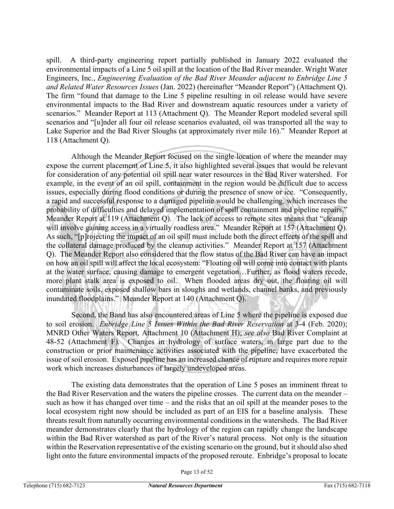spill. A third-party engineering report partially published in January 2022 evaluated the environmental impacts of a Line 5 oil spill at the location of the Bad River meander. Wright Water Engineers, Inc., *Engineering Evaluation of the Bad River Meander adjacent to Enbridge Line 5 and Related Water Resources Issues* (Jan. 2022) (hereinafter "Meander Report") (Attachment Q). The firm "found that damage to the Line 5 pipeline resulting in oil release would have severe environmental impacts to the Bad River and downstream aquatic resources under a variety of scenarios." Meander Report at 113 (Attachment Q). The Meander Report modeled several spill scenarios and "[u]nder all four oil release scenarios evaluated, oil was transported all the way to Lake Superior and the Bad River Sloughs (at approximately river mile 16)." Meander Report at 118 (Attachment Q).

Although the Meander Report focused on the single location of where the meander may expose the current placement of Line 5, it also highlighted several issues that would be relevant for consideration of any potential oil spill near water resources in the Bad River watershed. For example, in the event of an oil spill, containment in the region would be difficult due to access issues, especially during flood conditions or during the presence of snow or ice. "Consequently, a rapid and successful response to a damaged pipeline would be challenging, which increases the probability of difficulties and delayed implementation of spill containment and pipeline repairs." Meander Report at 119 (Attachment Q). The lack of access to remote sites means that "cleanup will involve gaining access in a virtually roadless area." Meander Report at 157 (Attachment Q). As such, "[p]rojecting the impact of an oil spill must include both the direct effects of the spill and the collateral damage produced by the cleanup activities." Meander Report at 157 (Attachment Q). The Meander Report also considered that the flow status of the Bad River can have an impact on how an oil spill will affect the local ecosystem: "Floating oil will come into contact with plants at the water surface, causing damage to emergent vegetation…Further, as flood waters recede, more plant stalk area is exposed to oil. When flooded areas dry out, the floating oil will contaminate soils, exposed shallow bars in sloughs and wetlands, channel banks, and previously inundated floodplains." Meander Report at 140 (Attachment Q).

Second, the Band has also encountered areas of Line 5 where the pipeline is exposed due to soil erosion. *Enbridge Line 5 Issues Within the Bad River Reservation* at 3-4 (Feb. 2020); MNRD Other Waters Report, Attachment 10 (Attachment H); *see also* Bad River Complaint at 48-52 (Attachment F). Changes in hydrology of surface waters, in large part due to the construction or prior maintenance activities associated with the pipeline, have exacerbated the issue of soil erosion. Exposed pipeline has an increased chance of rupture and requires more repair work which increases disturbances of largely undeveloped areas.

The existing data demonstrates that the operation of Line 5 poses an imminent threat to the Bad River Reservation and the waters the pipeline crosses. The current data on the meander – such as how it has changed over time – and the risks that an oil spill at the meander poses to the local ecosystem right now should be included as part of an EIS for a baseline analysis. These threats result from naturally occurring environmental conditions in the watersheds. The Bad River meander demonstrates clearly that the hydrology of the region can rapidly change the landscape within the Bad River watershed as part of the River's natural process. Not only is the situation within the Reservation representative of the existing scenario on the ground, but it should also shed light onto the future environmental impacts of the proposed reroute. Enbridge's proposal to locate

Page 13 of 52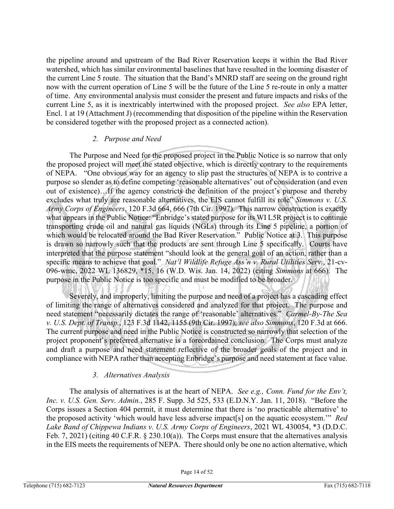the pipeline around and upstream of the Bad River Reservation keeps it within the Bad River watershed, which has similar environmental baselines that have resulted in the looming disaster of the current Line 5 route. The situation that the Band's MNRD staff are seeing on the ground right now with the current operation of Line 5 will be the future of the Line 5 re-route in only a matter of time. Any environmental analysis must consider the present and future impacts and risks of the current Line 5, as it is inextricably intertwined with the proposed project. *See also* EPA letter, Encl. 1 at 19 (Attachment J) (recommending that disposition of the pipeline within the Reservation be considered together with the proposed project as a connected action).

#### *2. Purpose and Need*

The Purpose and Need for the proposed project in the Public Notice is so narrow that only the proposed project will meet the stated objective, which is directly contrary to the requirements of NEPA. "One obvious way for an agency to slip past the structures of NEPA is to contrive a purpose so slender as to define competing 'reasonable alternatives' out of consideration (and even out of existence)…If the agency constricts the definition of the project's purpose and thereby excludes what truly are reasonable alternatives, the EIS cannot fulfill its role" *Simmons v. U.S. Army Corps of Engineers*, 120 F.3d 664, 666 (7th Cir. 1997). This narrow construction is exactly what appears in the Public Notice: "Enbridge's stated purpose for its WI L5R project is to continue transporting crude oil and natural gas liquids (NGLs) through its Line 5 pipeline, a portion of which would be relocated around the Bad River Reservation." Public Notice at 3. This purpose is drawn so narrowly such that the products are sent through Line 5 specifically. Courts have interpreted that the purpose statement "should look at the general goal of an action, rather than a specific means to achieve that goal." *Nat'l Wildlife Refuge Ass'n v. Rural Utilities Serv.*, 21-cv-096-wmc, 2022 WL 136829, \*15, 16 (W.D. Wis. Jan. 14, 2022) (citing *Simmons* at 666). The purpose in the Public Notice is too specific and must be modified to be broader.

Severely, and improperly, limiting the purpose and need of a project has a cascading effect of limiting the range of alternatives considered and analyzed for that project. The purpose and need statement "necessarily dictates the range of 'reasonable' alternatives." *Carmel-By-The Sea v. U.S. Dept. of Transp.*, 123 F.3d 1142, 1155 (9th Cir. 1997); *see also Simmons*, 120 F.3d at 666. The current purpose and need in the Public Notice is constructed so narrowly that selection of the project proponent's preferred alternative is a foreordained conclusion. The Corps must analyze and draft a purpose and need statement reflective of the broader goals of the project and in compliance with NEPA rather than accepting Enbridge's purpose and need statement at face value.

## *3. Alternatives Analysis*

The analysis of alternatives is at the heart of NEPA. *See e.g., Conn. Fund for the Env't, Inc. v. U.S. Gen. Serv. Admin.*, 285 F. Supp. 3d 525, 533 (E.D.N.Y. Jan. 11, 2018). "Before the Corps issues a Section 404 permit, it must determine that there is 'no practicable alternative' to the proposed activity 'which would have less adverse impact[s] on the aquatic ecosystem.'" *Red Lake Band of Chippewa Indians v. U.S. Army Corps of Engineers*, 2021 WL 430054, \*3 (D.D.C. Feb. 7, 2021) (citing 40 C.F.R. § 230.10(a)). The Corps must ensure that the alternatives analysis in the EIS meets the requirements of NEPA. There should only be one no action alternative, which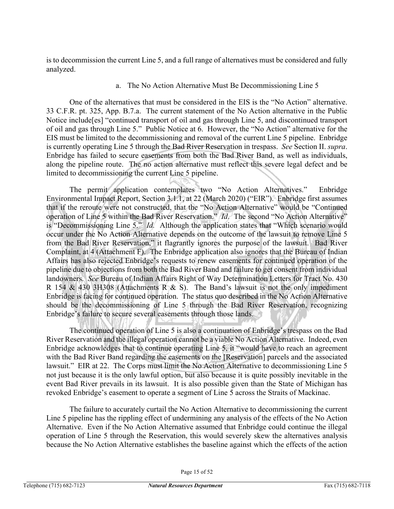is to decommission the current Line 5, and a full range of alternatives must be considered and fully analyzed.

#### a. The No Action Alternative Must Be Decommissioning Line 5

One of the alternatives that must be considered in the EIS is the "No Action" alternative. 33 C.F.R. pt. 325, App. B.7.a. The current statement of the No Action alternative in the Public Notice include[es] "continued transport of oil and gas through Line 5, and discontinued transport of oil and gas through Line 5." Public Notice at 6. However, the "No Action" alternative for the EIS must be limited to the decommissioning and removal of the current Line 5 pipeline. Enbridge is currently operating Line 5 through the Bad River Reservation in trespass. *See* Section II. *supra*. Enbridge has failed to secure easements from both the Bad River Band, as well as individuals, along the pipeline route. The no action alternative must reflect this severe legal defect and be limited to decommissioning the current Line 5 pipeline.

The permit application contemplates two "No Action Alternatives." Enbridge Environmental Impact Report, Section 3.1.1, at 22 (March 2020) ("EIR"). Enbridge first assumes that if the reroute were not constructed, that the "No Action Alternative" would be "Continued operation of Line 5 within the Bad River Reservation." *Id*. The second "No Action Alternative" is "Decommissioning Line 5." *Id.* Although the application states that "Which scenario would occur under the No Action Alternative depends on the outcome of the lawsuit to remove Line 5 from the Bad River Reservation," it flagrantly ignores the purpose of the lawsuit. Bad River Complaint, at 4 (Attachment F). The Enbridge application also ignores that the Bureau of Indian Affairs has also rejected Enbridge's requests to renew easements for continued operation of the pipeline due to objections from both the Bad River Band and failure to get consent from individual landowners. *See* Bureau of Indian Affairs Right of Way Determination Letters for Tract No. 430 R 154 & 430 3H308 (Attachments R & S). The Band's lawsuit is not the only impediment Enbridge is facing for continued operation. The status quo described in the No Action Alternative should be the decommissioning of Line 5 through the Bad River Reservation, recognizing Enbridge's failure to secure several easements through those lands.

The continued operation of Line 5 is also a continuation of Enbridge's trespass on the Bad River Reservation and the illegal operation cannot be a viable No Action Alternative. Indeed, even Enbridge acknowledges that to continue operating Line 5, it "would have to reach an agreement with the Bad River Band regarding the easements on the [Reservation] parcels and the associated lawsuit." EIR at 22. The Corps must limit the No Action Alternative to decommissioning Line 5 not just because it is the only lawful option, but also because it is quite possibly inevitable in the event Bad River prevails in its lawsuit. It is also possible given than the State of Michigan has revoked Enbridge's easement to operate a segment of Line 5 across the Straits of Mackinac.

The failure to accurately curtail the No Action Alternative to decommissioning the current Line 5 pipeline has the rippling effect of undermining any analysis of the effects of the No Action Alternative. Even if the No Action Alternative assumed that Enbridge could continue the illegal operation of Line 5 through the Reservation, this would severely skew the alternatives analysis because the No Action Alternative establishes the baseline against which the effects of the action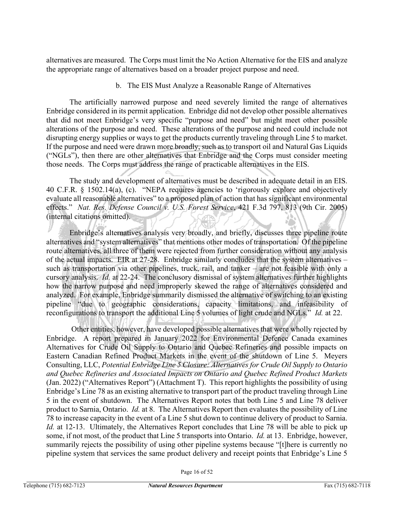alternatives are measured. The Corps must limit the No Action Alternative for the EIS and analyze the appropriate range of alternatives based on a broader project purpose and need.

## b. The EIS Must Analyze a Reasonable Range of Alternatives

The artificially narrowed purpose and need severely limited the range of alternatives Enbridge considered in its permit application. Enbridge did not develop other possible alternatives that did not meet Enbridge's very specific "purpose and need" but might meet other possible alterations of the purpose and need. These alterations of the purpose and need could include not disrupting energy supplies or ways to get the products currently traveling through Line 5 to market. If the purpose and need were drawn more broadly, such as to transport oil and Natural Gas Liquids ("NGLs"), then there are other alternatives that Enbridge and the Corps must consider meeting those needs. The Corps must address the range of practicable alternatives in the EIS.

The study and development of alternatives must be described in adequate detail in an EIS. 40 C.F.R. § 1502.14(a), (c). "NEPA requires agencies to 'rigorously explore and objectively evaluate all reasonable alternatives" to a proposed plan of action that has significant environmental effects." *Nat. Res. Defense Council v. U.S. Forest Service*, 421 F.3d 797, 813 (9th Cir. 2005) (internal citations omitted).

Enbridge's alternatives analysis very broadly, and briefly, discusses three pipeline route alternatives and "system alternatives" that mentions other modes of transportation. Of the pipeline route alternatives, all three of them were rejected from further consideration without any analysis of the actual impacts. EIR at 27-28. Enbridge similarly concludes that the system alternatives – such as transportation via other pipelines, truck, rail, and tanker – are not feasible with only a cursory analysis. *Id.* at 22-24. The conclusory dismissal of system alternatives further highlights how the narrow purpose and need improperly skewed the range of alternatives considered and analyzed. For example, Enbridge summarily dismissed the alternative of switching to an existing pipeline "due to geographic considerations, capacity limitations, and infeasibility of reconfigurations to transport the additional Line 5 volumes of light crude and NGLs." *Id.* at 22.

Other entities, however, have developed possible alternatives that were wholly rejected by Enbridge. A report prepared in January 2022 for Environmental Defence Canada examines Alternatives for Crude Oil Supply to Ontario and Quebec Refineries and possible impacts on Eastern Canadian Refined Product Markets in the event of the shutdown of Line 5. Meyers Consulting, LLC, *Potential Enbridge Line 5 Closure: Alternatives for Crude Oil Supply to Ontario and Quebec Refineries and Associated Impacts on Ontario and Quebec Refined Product Markets* (Jan. 2022) ("Alternatives Report") (Attachment T). This report highlights the possibility of using Enbridge's Line 78 as an existing alternative to transport part of the product traveling through Line 5 in the event of shutdown. The Alternatives Report notes that both Line 5 and Line 78 deliver product to Sarnia, Ontario. *Id.* at 8. The Alternatives Report then evaluates the possibility of Line 78 to increase capacity in the event of a Line 5 shut down to continue delivery of product to Sarnia. *Id.* at 12-13. Ultimately, the Alternatives Report concludes that Line 78 will be able to pick up some, if not most, of the product that Line 5 transports into Ontario. *Id.* at 13. Enbridge, however, summarily rejects the possibility of using other pipeline systems because "[t]here is currently no pipeline system that services the same product delivery and receipt points that Enbridge's Line 5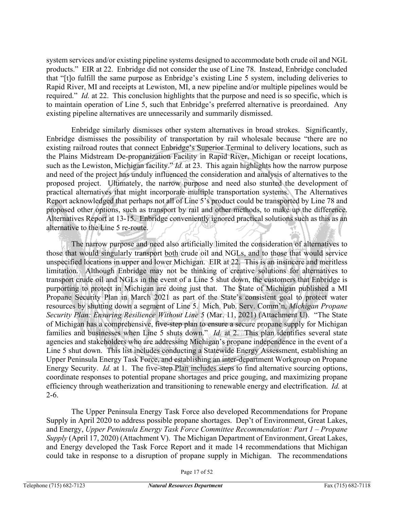system services and/or existing pipeline systems designed to accommodate both crude oil and NGL products." EIR at 22. Enbridge did not consider the use of Line 78. Instead, Enbridge concluded that "[t]o fulfill the same purpose as Enbridge's existing Line 5 system, including deliveries to Rapid River, MI and receipts at Lewiston, MI, a new pipeline and/or multiple pipelines would be required." *Id.* at 22. This conclusion highlights that the purpose and need is so specific, which is to maintain operation of Line 5, such that Enbridge's preferred alternative is preordained. Any existing pipeline alternatives are unnecessarily and summarily dismissed.

Enbridge similarly dismisses other system alternatives in broad strokes. Significantly, Enbridge dismisses the possibility of transportation by rail wholesale because "there are no existing railroad routes that connect Enbridge's Superior Terminal to delivery locations, such as the Plains Midstream De-propanization Facility in Rapid River, Michigan or receipt locations, such as the Lewiston, Michigan facility." *Id.* at 23. This again highlights how the narrow purpose and need of the project has unduly influenced the consideration and analysis of alternatives to the proposed project. Ultimately, the narrow purpose and need also stunted the development of practical alternatives that might incorporate multiple transportation systems. The Alternatives Report acknowledged that perhaps not all of Line 5's product could be transported by Line 78 and proposed other options, such as transport by rail and other methods, to make up the difference. Alternatives Report at 13-15. Enbridge conveniently ignored practical solutions such as this as an alternative to the Line 5 re-route.

The narrow purpose and need also artificially limited the consideration of alternatives to those that would singularly transport both crude oil and NGLs, and to those that would service unspecified locations in upper and lower Michigan. EIR at 22. This is an insincere and meritless limitation. Although Enbridge may not be thinking of creative solutions for alternatives to transport crude oil and NGLs in the event of a Line 5 shut down, the customers that Enbridge is purporting to protect in Michigan are doing just that. The State of Michigan published a MI Propane Security Plan in March 2021 as part of the State's consistent goal to protect water resources by shutting down a segment of Line 5. Mich. Pub. Serv. Comm'n, *Michigan Propane Security Plan: Ensuring Resilience Without Line 5* (Mar. 11, 2021) (Attachment U). "The State of Michigan has a comprehensive, five-step plan to ensure a secure propane supply for Michigan families and businesses when Line 5 shuts down." *Id.* at 2. This plan identifies several state agencies and stakeholders who are addressing Michigan's propane independence in the event of a Line 5 shut down. This list includes conducting a Statewide Energy Assessment, establishing an Upper Peninsula Energy Task Force, and establishing an inter-department Workgroup on Propane Energy Security. *Id.* at 1. The five-step Plan includes steps to find alternative sourcing options, coordinate responses to potential propane shortages and price gouging, and maximizing propane efficiency through weatherization and transitioning to renewable energy and electrification. *Id.* at  $2-6.$ 

The Upper Peninsula Energy Task Force also developed Recommendations for Propane Supply in April 2020 to address possible propane shortages. Dep't of Environment, Great Lakes, and Energy, *Upper Peninsula Energy Task Force Committee Recommendation: Part 1 – Propane Supply* (April 17, 2020) (Attachment V). The Michigan Department of Environment, Great Lakes, and Energy developed the Task Force Report and it made 14 recommendations that Michigan could take in response to a disruption of propane supply in Michigan. The recommendations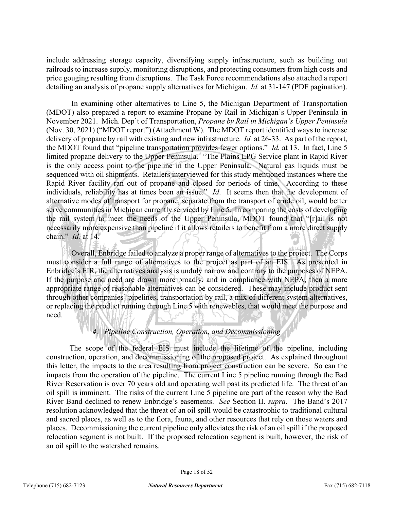include addressing storage capacity, diversifying supply infrastructure, such as building out railroads to increase supply, monitoring disruptions, and protecting consumers from high costs and price gouging resulting from disruptions. The Task Force recommendations also attached a report detailing an analysis of propane supply alternatives for Michigan. *Id.* at 31-147 (PDF pagination).

In examining other alternatives to Line 5, the Michigan Department of Transportation (MDOT) also prepared a report to examine Propane by Rail in Michigan's Upper Peninsula in November 2021. Mich. Dep't of Transportation, *Propane by Rail in Michigan's Upper Peninsula* (Nov. 30, 2021) ("MDOT report") (Attachment W). The MDOT report identified ways to increase delivery of propane by rail with existing and new infrastructure. *Id.* at 26-33. As part of the report, the MDOT found that "pipeline transportation provides fewer options." *Id.* at 13. In fact, Line 5 limited propane delivery to the Upper Peninsula. "The Plains LPG Service plant in Rapid River is the only access point to the pipeline in the Upper Peninsula. Natural gas liquids must be sequenced with oil shipments. Retailers interviewed for this study mentioned instances where the Rapid River facility ran out of propane and closed for periods of time. According to these individuals, reliability has at times been an issue." *Id*. It seems then that the development of alternative modes of transport for propane, separate from the transport of crude oil, would better serve communities in Michigan currently serviced by Line 5. In comparing the costs of developing the rail system to meet the needs of the Upper Peninsula, MDOT found that "[r]ail is not necessarily more expensive than pipeline if it allows retailers to benefit from a more direct supply chain." *Id.* at 14.

Overall, Enbridge failed to analyze a proper range of alternatives to the project. The Corps must consider a full range of alternatives to the project as part of an EIS. As presented in Enbridge's EIR, the alternatives analysis is unduly narrow and contrary to the purposes of NEPA. If the purpose and need are drawn more broadly, and in compliance with NEPA, then a more appropriate range of reasonable alternatives can be considered. These may include product sent through other companies' pipelines, transportation by rail, a mix of different system alternatives, or replacing the product running through Line 5 with renewables, that would meet the purpose and need.

## *4. Pipeline Construction, Operation, and Decommissioning*

The scope of the federal EIS must include the lifetime of the pipeline, including construction, operation, and decommissioning of the proposed project. As explained throughout this letter, the impacts to the area resulting from project construction can be severe. So can the impacts from the operation of the pipeline. The current Line 5 pipeline running through the Bad River Reservation is over 70 years old and operating well past its predicted life. The threat of an oil spill is imminent. The risks of the current Line 5 pipeline are part of the reason why the Bad River Band declined to renew Enbridge's easements. *See* Section II. *supra*. The Band's 2017 resolution acknowledged that the threat of an oil spill would be catastrophic to traditional cultural and sacred places, as well as to the flora, fauna, and other resources that rely on those waters and places. Decommissioning the current pipeline only alleviates the risk of an oil spill if the proposed relocation segment is not built. If the proposed relocation segment is built, however, the risk of an oil spill to the watershed remains.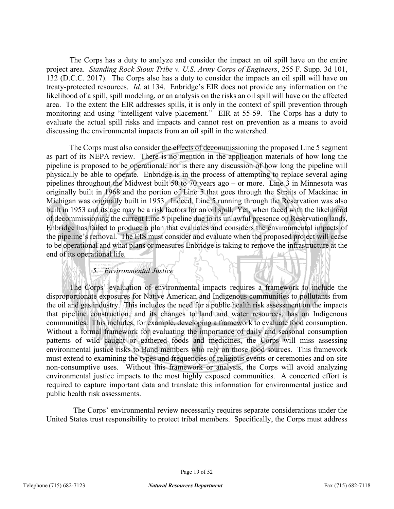The Corps has a duty to analyze and consider the impact an oil spill have on the entire project area. *Standing Rock Sioux Tribe v. U.S. Army Corps of Engineers*, 255 F. Supp. 3d 101, 132 (D.C.C. 2017). The Corps also has a duty to consider the impacts an oil spill will have on treaty-protected resources. *Id.* at 134. Enbridge's EIR does not provide any information on the likelihood of a spill, spill modeling, or an analysis on the risks an oil spill will have on the affected area. To the extent the EIR addresses spills, it is only in the context of spill prevention through monitoring and using "intelligent valve placement." EIR at 55-59. The Corps has a duty to evaluate the actual spill risks and impacts and cannot rest on prevention as a means to avoid discussing the environmental impacts from an oil spill in the watershed.

The Corps must also consider the effects of decommissioning the proposed Line 5 segment as part of its NEPA review. There is no mention in the application materials of how long the pipeline is proposed to be operational, nor is there any discussion of how long the pipeline will physically be able to operate. Enbridge is in the process of attempting to replace several aging pipelines throughout the Midwest built 50 to 70 years ago – or more. Line 3 in Minnesota was originally built in 1968 and the portion of Line 5 that goes through the Straits of Mackinac in Michigan was originally built in 1953. Indeed, Line 5 running through the Reservation was also built in 1953 and its age may be a risk factors for an oil spill. Yet, when faced with the likelihood of decommissioning the current Line 5 pipeline due to its unlawful presence on Reservation lands, Enbridge has failed to produce a plan that evaluates and considers the environmental impacts of the pipeline's removal. The EIS must consider and evaluate when the proposed project will cease to be operational and what plans or measures Enbridge is taking to remove the infrastructure at the end of its operational life.

## *5. Environmental Justice*

The Corps' evaluation of environmental impacts requires a framework to include the disproportionate exposures for Native American and Indigenous communities to pollutants from the oil and gas industry. This includes the need for a public health risk assessment on the impacts that pipeline construction, and its changes to land and water resources, has on Indigenous communities. This includes, for example, developing a framework to evaluate food consumption. Without a formal framework for evaluating the importance of daily and seasonal consumption patterns of wild caught or gathered foods and medicines, the Corps will miss assessing environmental justice risks to Band members who rely on those food sources. This framework must extend to examining the types and frequencies of religious events or ceremonies and on-site non-consumptive uses. Without this framework or analysis, the Corps will avoid analyzing environmental justice impacts to the most highly exposed communities. A concerted effort is required to capture important data and translate this information for environmental justice and public health risk assessments.

 The Corps' environmental review necessarily requires separate considerations under the United States trust responsibility to protect tribal members. Specifically, the Corps must address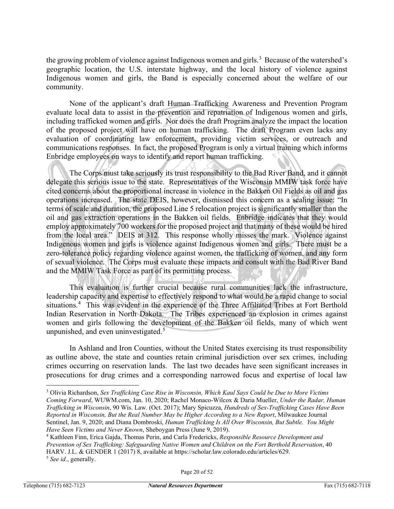the growing problem of violence against Indigenous women and girls.<sup>[3](#page-19-0)</sup> Because of the watershed's geographic location, the U.S. interstate highway, and the local history of violence against Indigenous women and girls, the Band is especially concerned about the welfare of our community.

None of the applicant's draft Human Trafficking Awareness and Prevention Program evaluate local data to assist in the prevention and repatriation of Indigenous women and girls, including trafficked women and girls. Nor does the draft Program analyze the impact the location of the proposed project will have on human trafficking. The draft Program even lacks any evaluation of coordinating law enforcement, providing victim services, or outreach and communications responses. In fact, the proposed Program is only a virtual training which informs Enbridge employees on ways to identify and report human trafficking.

The Corps must take seriously its trust responsibility to the Bad River Band, and it cannot delegate this serious issue to the state. Representatives of the Wisconsin MMIW task force have cited concerns about the proportional increase in violence in the Bakken Oil Fields as oil and gas operations increased. The state DEIS, however, dismissed this concern as a scaling issue: "In terms of scale and duration, the proposed Line 5 relocation project is significantly smaller than the oil and gas extraction operations in the Bakken oil fields. Enbridge indicates that they would employ approximately 700 workers for the proposed project and that many of these would be hired from the local area." DEIS at 312. This response wholly misses the mark. Violence against Indigenous women and girls is violence against Indigenous women and girls. There must be a zero-tolerance policy regarding violence against women, the trafficking of women, and any form of sexual violence. The Corps must evaluate these impacts and consult with the Bad River Band and the MMIW Task Force as part of its permitting process.

This evaluation is further crucial because rural communities lack the infrastructure, leadership capacity and expertise to effectively respond to what would be a rapid change to social situations.<sup>[4](#page-19-1)</sup> This was evident in the experience of the Three Affiliated Tribes at Fort Berthold Indian Reservation in North Dakota. The Tribes experienced an explosion in crimes against women and girls following the development of the Bakken oil fields, many of which went unpunished, and even uninvestigated. $5$ 

In Ashland and Iron Counties, without the United States exercising its trust responsibility as outline above, the state and counties retain criminal jurisdiction over sex crimes, including crimes occurring on reservation lands. The last two decades have seen significant increases in prosecutions for drug crimes and a corresponding narrowed focus and expertise of local law

<span id="page-19-0"></span><sup>3</sup> Olivia Richardson, *Sex Trafficking Case Rise in Wisconsin, Which Kaul Says Could be Due to More Victims Coming Forward*, WUWM.com, Jan. 10, 2020; Rachel Monaco-Wilcox & Daria Mueller, *Under the Radar, Human Trafficking in Wisconsin*, 90 Wis. Law. (Oct. 2017); Mary Spicuzza, *Hundreds of Sex-Trafficking Cases Have Been Reported in Wisconsin, But the Real Number May be Higher According to a New Report*, Milwaukee Journal Sentinel, Jan. 9, 2020; and Diana Dombroski, *Human Trafficking Is All Over Wisconsin, But Subtle. You Might Have Seen Victims and Never Known*, Sheboygan Press (June 9, 2019).<br><sup>4</sup> Kathleen Finn, Erica Gajda, Thomas Perin, and Carla Fredericks, *Responsible Resource Development and* 

<span id="page-19-2"></span><span id="page-19-1"></span>*Prevention of Sex Trafficking: Safeguarding Native Women and Children on the Fort Berthold Reservation*, 40 HARV. J.L. & GENDER 1 (2017) 8, available at https://scholar.law.colorado.edu/articles/629. <sup>5</sup> *See id.*, generally.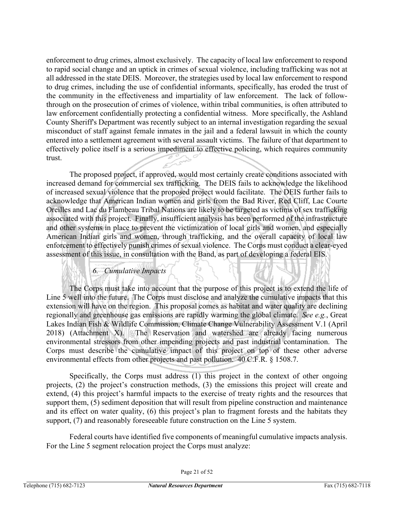enforcement to drug crimes, almost exclusively. The capacity of local law enforcement to respond to rapid social change and an uptick in crimes of sexual violence, including trafficking was not at all addressed in the state DEIS. Moreover, the strategies used by local law enforcement to respond to drug crimes, including the use of confidential informants, specifically, has eroded the trust of the community in the effectiveness and impartiality of law enforcement. The lack of followthrough on the prosecution of crimes of violence, within tribal communities, is often attributed to law enforcement confidentially protecting a confidential witness. More specifically, the Ashland County Sheriff's Department was recently subject to an internal investigation regarding the sexual misconduct of staff against female inmates in the jail and a federal lawsuit in which the county entered into a settlement agreement with several assault victims. The failure of that department to effectively police itself is a serious impediment to effective policing, which requires community trust.

The proposed project, if approved, would most certainly create conditions associated with increased demand for commercial sex trafficking. The DEIS fails to acknowledge the likelihood of increased sexual violence that the proposed project would facilitate. The DEIS further fails to acknowledge that American Indian women and girls from the Bad River, Red Cliff, Lac Courte Oreilles and Lac du Flambeau Tribal Nations are likely to be targeted as victims of sex trafficking associated with this project. Finally, insufficient analysis has been performed of the infrastructure and other systems in place to prevent the victimization of local girls and women, and especially American Indian girls and women, through trafficking, and the overall capacity of local law enforcement to effectively punish crimes of sexual violence. The Corps must conduct a clear-eyed assessment of this issue, in consultation with the Band, as part of developing a federal EIS.

## *6. Cumulative Impacts*

The Corps must take into account that the purpose of this project is to extend the life of Line 5 well into the future. The Corps must disclose and analyze the cumulative impacts that this extension will have on the region. This proposal comes as habitat and water quality are declining regionally and greenhouse gas emissions are rapidly warming the global climate. *See e.g.*, Great Lakes Indian Fish & Wildlife Commission, Climate Change Vulnerability Assessment V.1 (April 2018) (Attachment X). The Reservation and watershed are already facing numerous environmental stressors from other impending projects and past industrial contamination. The Corps must describe the cumulative impact of this project on top of these other adverse environmental effects from other projects and past pollution. 40 C.F.R. § 1508.7.

Specifically, the Corps must address  $(1)$  this project in the context of other ongoing projects, (2) the project's construction methods, (3) the emissions this project will create and extend, (4) this project's harmful impacts to the exercise of treaty rights and the resources that support them, (5) sediment deposition that will result from pipeline construction and maintenance and its effect on water quality, (6) this project's plan to fragment forests and the habitats they support, (7) and reasonably foreseeable future construction on the Line 5 system.

Federal courts have identified five components of meaningful cumulative impacts analysis. For the Line 5 segment relocation project the Corps must analyze: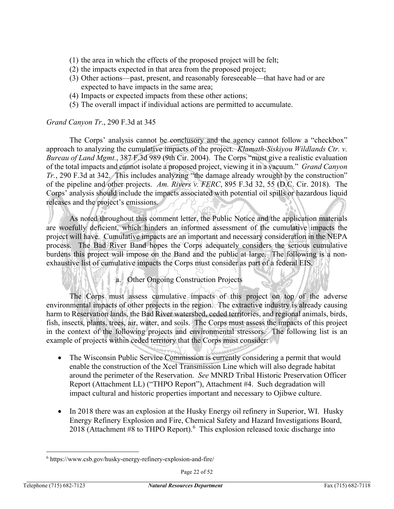- (1) the area in which the effects of the proposed project will be felt;
- (2) the impacts expected in that area from the proposed project;
- (3) Other actions—past, present, and reasonably foreseeable—that have had or are expected to have impacts in the same area;
- (4) Impacts or expected impacts from these other actions;
- (5) The overall impact if individual actions are permitted to accumulate.

#### *Grand Canyon Tr*., 290 F.3d at 345

The Corps' analysis cannot be conclusory and the agency cannot follow a "checkbox" approach to analyzing the cumulative impacts of the project. *Klamath-Siskiyou Wildlands Ctr. v. Bureau of Land Mgmt.*, 387 F.3d 989 (9th Cir. 2004). The Corps "must give a realistic evaluation of the total impacts and cannot isolate a proposed project, viewing it in a vacuum." *Grand Canyon Tr.*, 290 F.3d at 342. This includes analyzing "the damage already wrought by the construction" of the pipeline and other projects. *Am. Rivers v. FERC*, 895 F.3d 32, 55 (D.C. Cir. 2018). The Corps' analysis should include the impacts associated with potential oil spills or hazardous liquid releases and the project's emissions.

As noted throughout this comment letter, the Public Notice and the application materials are woefully deficient, which hinders an informed assessment of the cumulative impacts the project will have. Cumulative impacts are an important and necessary consideration in the NEPA process. The Bad River Band hopes the Corps adequately considers the serious cumulative burdens this project will impose on the Band and the public at large. The following is a nonexhaustive list of cumulative impacts the Corps must consider as part of a federal EIS.

## a. Other Ongoing Construction Projects

The Corps must assess cumulative impacts of this project on top of the adverse environmental impacts of other projects in the region. The extractive industry is already causing harm to Reservation lands, the Bad River watershed, ceded territories, and regional animals, birds, fish, insects, plants, trees, air, water, and soils. The Corps must assess the impacts of this project in the context of the following projects and environmental stressors. The following list is an example of projects within ceded territory that the Corps must consider:

- The Wisconsin Public Service Commission is currently considering a permit that would enable the construction of the Xcel Transmission Line which will also degrade habitat around the perimeter of the Reservation. *See* MNRD Tribal Historic Preservation Officer Report (Attachment LL) ("THPO Report"), Attachment #4. Such degradation will impact cultural and historic properties important and necessary to Ojibwe culture.
- In 2018 there was an explosion at the Husky Energy oil refinery in Superior, WI. Husky Energy Refinery Explosion and Fire, Chemical Safety and Hazard Investigations Board, 2018 (Attachment #8 to THPO Report). $6$  This explosion released toxic discharge into

<span id="page-21-0"></span><sup>6</sup> https://www.csb.gov/husky-energy-refinery-explosion-and-fire/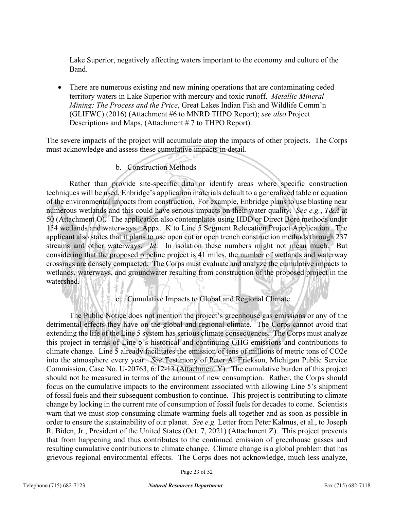Lake Superior, negatively affecting waters important to the economy and culture of the Band.

• There are numerous existing and new mining operations that are contaminating ceded territory waters in Lake Superior with mercury and toxic runoff. *Metallic Mineral Mining: The Process and the Price*, Great Lakes Indian Fish and Wildlife Comm'n (GLIFWC) (2016) (Attachment #6 to MNRD THPO Report); *see also* Project Descriptions and Maps, (Attachment # 7 to THPO Report).

The severe impacts of the project will accumulate atop the impacts of other projects. The Corps must acknowledge and assess these cumulative impacts in detail.

## b. Construction Methods

Rather than provide site-specific data or identify areas where specific construction techniques will be used, Enbridge's application materials default to a generalized table or equation of the environmental impacts from construction. For example, Enbridge plans to use blasting near numerous wetlands and this could have serious impacts on their water quality. *See e.g.*, *T&A* at 50 (Attachment O). The application also contemplates using HDD or Direct Bore methods under 154 wetlands and waterways. Appx. K to Line 5 Segment Relocation Project Application. The applicant also states that it plans to use open cut or open trench construction methods through 237 streams and other waterways. *Id*. In isolation these numbers might not mean much. But considering that the proposed pipeline project is 41 miles, the number of wetlands and waterway crossings are densely compacted. The Corps must evaluate and analyze the cumulative impacts to wetlands, waterways, and groundwater resulting from construction of the proposed project in the watershed.

## c. Cumulative Impacts to Global and Regional Climate

The Public Notice does not mention the project's greenhouse gas emissions or any of the detrimental effects they have on the global and regional climate. The Corps cannot avoid that extending the life of the Line 5 system has serious climate consequences. The Corps must analyze this project in terms of Line 5's historical and continuing GHG emissions and contributions to climate change. Line 5 already facilitates the emission of tens of millions of metric tons of CO2e into the atmosphere every year. *See* Testimony of Peter A. Erickson, Michigan Public Service Commission, Case No. U-20763, 6:12-13 (Attachment Y). The cumulative burden of this project should not be measured in terms of the amount of new consumption. Rather, the Corps should focus on the cumulative impacts to the environment associated with allowing Line 5's shipment of fossil fuels and their subsequent combustion to continue. This project is contributing to climate change by locking in the current rate of consumption of fossil fuels for decades to come. Scientists warn that we must stop consuming climate warming fuels all together and as soon as possible in order to ensure the sustainability of our planet. *See e.g.* Letter from Peter Kalmus, et al., to Joseph R. Biden, Jr., President of the United States (Oct. 7, 2021) (Attachment Z). This project prevents that from happening and thus contributes to the continued emission of greenhouse gasses and resulting cumulative contributions to climate change. Climate change is a global problem that has grievous regional environmental effects. The Corps does not acknowledge, much less analyze,

Page 23 of 52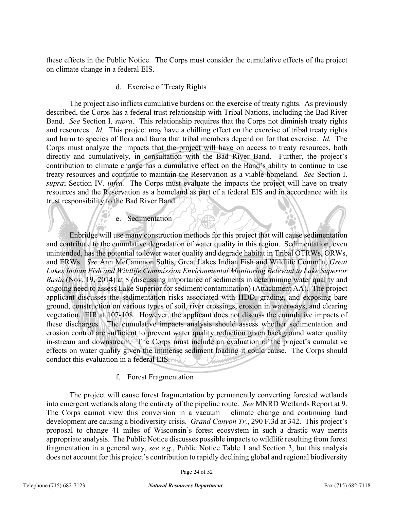these effects in the Public Notice. The Corps must consider the cumulative effects of the project on climate change in a federal EIS.

## d. Exercise of Treaty Rights

The project also inflicts cumulative burdens on the exercise of treaty rights. As previously described, the Corps has a federal trust relationship with Tribal Nations, including the Bad River Band. *See* Section I. *supra*. This relationship requires that the Corps not diminish treaty rights and resources. *Id.* This project may have a chilling effect on the exercise of tribal treaty rights and harm to species of flora and fauna that tribal members depend on for that exercise. *Id.* The Corps must analyze the impacts that the project will have on access to treaty resources, both directly and cumulatively, in consultation with the Bad River Band. Further, the project's contribution to climate change has a cumulative effect on the Band's ability to continue to use treaty resources and continue to maintain the Reservation as a viable homeland. *See* Section I. *supra*; Section IV. *infra.* The Corps must evaluate the impacts the project will have on treaty resources and the Reservation as a homeland as part of a federal EIS and in accordance with its trust responsibility to the Bad River Band.

#### e. Sedimentation

Enbridge will use many construction methods for this project that will cause sedimentation and contribute to the cumulative degradation of water quality in this region. Sedimentation, even unintended, has the potential to lower water quality and degrade habitat in Tribal OTRWs, ORWs, and ERWs. *See* Ann McCammon Soltis, Great Lakes Indian Fish and Wildlife Comm'n, *Great Lakes Indian Fish and Wildlife Commission Environmental Monitoring Relevant to Lake Superior Basin* (Nov. 19, 2014) at 8 (discussing importance of sediments in determining water quality and ongoing need to assess Lake Superior for sediment contamination) (Attachment AA). The project applicant discusses the sedimentation risks associated with HDD, grading, and exposing bare ground, construction on various types of soil, river crossings, erosion in waterways, and clearing vegetation. EIR at 107-108. However, the applicant does not discuss the cumulative impacts of these discharges. The cumulative impacts analysis should assess whether sedimentation and erosion control are sufficient to prevent water quality reduction given background water quality in-stream and downstream. The Corps must include an evaluation of the project's cumulative effects on water quality given the immense sediment loading it could cause. The Corps should conduct this evaluation in a federal EIS.

## f. Forest Fragmentation

The project will cause forest fragmentation by permanently converting forested wetlands into emergent wetlands along the entirety of the pipeline route. *See* MNRD Wetlands Report at 9. The Corps cannot view this conversion in a vacuum – climate change and continuing land development are causing a biodiversity crisis. *Grand Canyon Tr.*, 290 F.3d at 342. This project's proposal to change 41 miles of Wisconsin's forest ecosystem in such a drastic way merits appropriate analysis. The Public Notice discusses possible impacts to wildlife resulting from forest fragmentation in a general way, *see e.g.*, Public Notice Table 1 and Section 3, but this analysis does not account for this project's contribution to rapidly declining global and regional biodiversity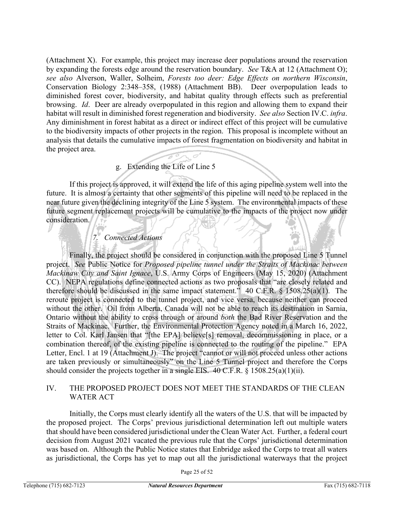(Attachment X). For example, this project may increase deer populations around the reservation by expanding the forests edge around the reservation boundary. *See* T&A at 12 (Attachment O); *see also* Alverson, Waller, Solheim, *Forests too deer: Edge Effects on northern Wisconsin*, Conservation Biology 2:348–358, (1988) (Attachment BB). Deer overpopulation leads to diminished forest cover, biodiversity, and habitat quality through effects such as preferential browsing. *Id*. Deer are already overpopulated in this region and allowing them to expand their habitat will result in diminished forest regeneration and biodiversity. *See also* Section IV.C. *infra*. Any diminishment in forest habitat as a direct or indirect effect of this project will be cumulative to the biodiversity impacts of other projects in the region. This proposal is incomplete without an analysis that details the cumulative impacts of forest fragmentation on biodiversity and habitat in the project area.

## g. Extending the Life of Line 5

If this project is approved, it will extend the life of this aging pipeline system well into the future. It is almost a certainty that other segments of this pipeline will need to be replaced in the near future given the declining integrity of the Line 5 system. The environmental impacts of these future segment replacement projects will be cumulative to the impacts of the project now under consideration.

## *7. Connected Actions*

Finally, the project should be considered in conjunction with the proposed Line 5 Tunnel project. *See* Public Notice for *Proposed pipeline tunnel under the Straits of Mackinac between Mackinaw City and Saint Ignace*, U.S. Army Corps of Engineers (May 15, 2020) (Attachment CC). NEPA regulations define connected actions as two proposals that "are closely related and therefore should be discussed in the same impact statement." 40 C.F.R. § 1508.25(a)(1). The reroute project is connected to the tunnel project, and vice versa, because neither can proceed without the other. Oil from Alberta, Canada will not be able to reach its destination in Sarnia, Ontario without the ability to cross through or around *both* the Bad River Reservation and the Straits of Mackinac. Further, the Environmental Protection Agency noted in a March 16, 2022, letter to Col. Karl Jansen that "[the EPA] believe[s] removal, decommissioning in place, or a combination thereof, of the existing pipeline is connected to the routing of the pipeline." EPA Letter, Encl. 1 at 19 (Attachment J). The project "cannot or will not proceed unless other actions are taken previously or simultaneously" on the Line 5 Tunnel project and therefore the Corps should consider the projects together in a single EIS. 40 C.F.R. § 1508.25(a)(1)(ii).

#### IV. THE PROPOSED PROJECT DOES NOT MEET THE STANDARDS OF THE CLEAN WATER ACT

Initially, the Corps must clearly identify all the waters of the U.S. that will be impacted by the proposed project. The Corps' previous jurisdictional determination left out multiple waters that should have been considered jurisdictional under the Clean Water Act. Further, a federal court decision from August 2021 vacated the previous rule that the Corps' jurisdictional determination was based on. Although the Public Notice states that Enbridge asked the Corps to treat all waters as jurisdictional, the Corps has yet to map out all the jurisdictional waterways that the project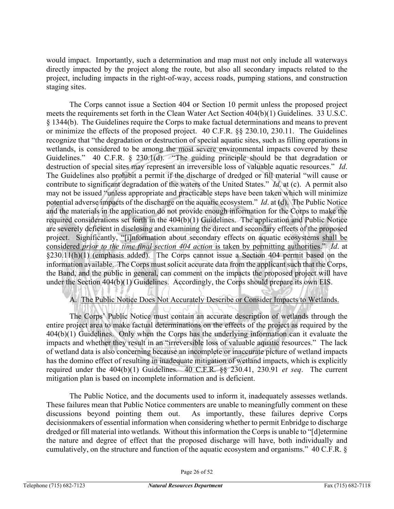would impact. Importantly, such a determination and map must not only include all waterways directly impacted by the project along the route, but also all secondary impacts related to the project, including impacts in the right-of-way, access roads, pumping stations, and construction staging sites.

The Corps cannot issue a Section 404 or Section 10 permit unless the proposed project meets the requirements set forth in the Clean Water Act Section 404(b)(1) Guidelines. 33 U.S.C. § 1344(b). The Guidelines require the Corps to make factual determinations and means to prevent or minimize the effects of the proposed project. 40 C.F.R. §§ 230.10, 230.11. The Guidelines recognize that "the degradation or destruction of special aquatic sites, such as filling operations in wetlands, is considered to be among the most severe environmental impacts covered by these Guidelines." 40 C.F.R. § 230.1(d). "The guiding principle should be that degradation or destruction of special sites may represent an irreversible loss of valuable aquatic resources." *Id*. The Guidelines also prohibit a permit if the discharge of dredged or fill material "will cause or contribute to significant degradation of the waters of the United States." *Id*. at (c). A permit also may not be issued "unless appropriate and practicable steps have been taken which will minimize potential adverse impacts of the discharge on the aquatic ecosystem." *Id*. at (d). The Public Notice and the materials in the application do not provide enough information for the Corps to make the required considerations set forth in the 404(b)(1) Guidelines. The application and Public Notice are severely deficient in disclosing and examining the direct and secondary effects of the proposed project. Significantly, "[i]nformation about secondary effects on aquatic ecosystems shall be considered *prior to the time final section 404 action* is taken by permitting authorities." *Id*. at §230.11(h)(1) (emphasis added). The Corps cannot issue a Section 404 permit based on the information available. The Corps must solicit accurate data from the applicant such that the Corps, the Band, and the public in general, can comment on the impacts the proposed project will have under the Section 404(b)(1) Guidelines. Accordingly, the Corps should prepare its own EIS.

## A. The Public Notice Does Not Accurately Describe or Consider Impacts to Wetlands.

The Corps' Public Notice must contain an accurate description of wetlands through the entire project area to make factual determinations on the effects of the project as required by the 404(b)(1) Guidelines. Only when the Corps has the underlying information can it evaluate the impacts and whether they result in an "irreversible loss of valuable aquatic resources." The lack of wetland data is also concerning because an incomplete or inaccurate picture of wetland impacts has the domino effect of resulting in inadequate mitigation of wetland impacts, which is explicitly required under the 404(b)(1) Guidelines. 40 C.F.R. §§ 230.41, 230.91 *et seq*. The current mitigation plan is based on incomplete information and is deficient.

The Public Notice, and the documents used to inform it, inadequately assesses wetlands. These failures mean that Public Notice commenters are unable to meaningfully comment on these discussions beyond pointing them out. As importantly, these failures deprive Corps decisionmakers of essential information when considering whether to permit Enbridge to discharge dredged or fill material into wetlands. Without this information the Corps is unable to "[d]etermine the nature and degree of effect that the proposed discharge will have, both individually and cumulatively, on the structure and function of the aquatic ecosystem and organisms." 40 C.F.R. §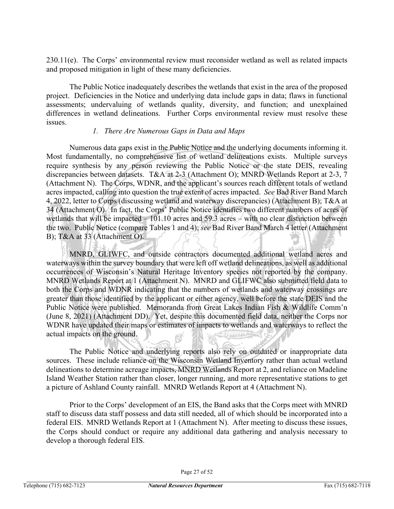230.11(e). The Corps' environmental review must reconsider wetland as well as related impacts and proposed mitigation in light of these many deficiencies.

The Public Notice inadequately describes the wetlands that exist in the area of the proposed project. Deficiencies in the Notice and underlying data include gaps in data; flaws in functional assessments; undervaluing of wetlands quality, diversity, and function; and unexplained differences in wetland delineations. Further Corps environmental review must resolve these issues.

#### *1. There Are Numerous Gaps in Data and Maps*

Numerous data gaps exist in the Public Notice and the underlying documents informing it. Most fundamentally, no comprehensive list of wetland delineations exists. Multiple surveys require synthesis by any person reviewing the Public Notice or the state DEIS, revealing discrepancies between datasets. T&A at 2-3 (Attachment O); MNRD Wetlands Report at 2-3, 7 (Attachment N). The Corps, WDNR, and the applicant's sources reach different totals of wetland acres impacted, calling into question the true extent of acres impacted. *See* Bad River Band March 4, 2022, letter to Corps (discussing wetland and waterway discrepancies) (Attachment B); T&A at 34 (Attachment O). In fact, the Corps' Public Notice identifies two different numbers of acres of wetlands that will be impacted – 101.10 acres and 59.3 acres – with no clear distinction between the two. Public Notice (compare Tables 1 and 4); *see* Bad River Band March 4 letter (Attachment B); T&A at 33 (Attachment O).

MNRD, GLIWFC, and outside contractors documented additional wetland acres and waterways within the survey boundary that were left off wetland delineations, as well as additional occurrences of Wisconsin's Natural Heritage Inventory species not reported by the company. MNRD Wetlands Report at 1 (Attachment N). MNRD and GLIFWC also submitted field data to both the Corps and WDNR indicating that the numbers of wetlands and waterway crossings are greater than those identified by the applicant or either agency, well before the state DEIS and the Public Notice were published. Memoranda from Great Lakes Indian Fish & Wildlife Comm'n (June 8, 2021) (Attachment DD). Yet, despite this documented field data, neither the Corps nor WDNR have updated their maps or estimates of impacts to wetlands and waterways to reflect the actual impacts on the ground.

The Public Notice and underlying reports also rely on outdated or inappropriate data sources. These include reliance on the Wisconsin Wetland Inventory rather than actual wetland delineations to determine acreage impacts, MNRD Wetlands Report at 2, and reliance on Madeline Island Weather Station rather than closer, longer running, and more representative stations to get a picture of Ashland County rainfall. MNRD Wetlands Report at 4 (Attachment N).

Prior to the Corps' development of an EIS, the Band asks that the Corps meet with MNRD staff to discuss data staff possess and data still needed, all of which should be incorporated into a federal EIS. MNRD Wetlands Report at 1 (Attachment N). After meeting to discuss these issues, the Corps should conduct or require any additional data gathering and analysis necessary to develop a thorough federal EIS.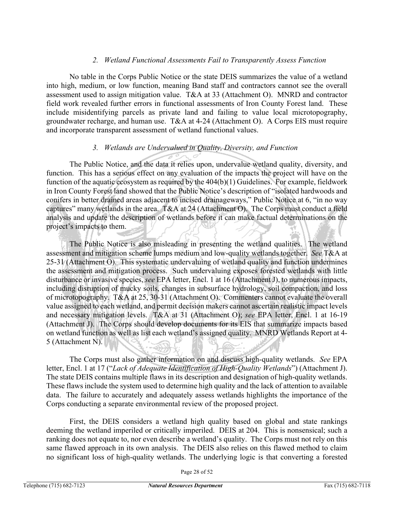## *2. Wetland Functional Assessments Fail to Transparently Assess Function*

No table in the Corps Public Notice or the state DEIS summarizes the value of a wetland into high, medium, or low function, meaning Band staff and contractors cannot see the overall assessment used to assign mitigation value. T&A at 33 (Attachment O). MNRD and contractor field work revealed further errors in functional assessments of Iron County Forest land. These include misidentifying parcels as private land and failing to value local microtopography, groundwater recharge, and human use. T&A at 4-24 (Attachment O). A Corps EIS must require and incorporate transparent assessment of wetland functional values.

#### *3. Wetlands are Undervalued in Quality, Diversity, and Function*

The Public Notice, and the data it relies upon, undervalue wetland quality, diversity, and function. This has a serious effect on any evaluation of the impacts the project will have on the function of the aquatic ecosystem as required by the 404(b)(1) Guidelines. For example, fieldwork in Iron County Forest land showed that the Public Notice's description of "isolated hardwoods and conifers in better drained areas adjacent to incised drainageways," Public Notice at 6, "in no way captures" many wetlands in the area. T&A at 24 (Attachment O). The Corps must conduct a field analysis and update the description of wetlands before it can make factual determinations on the project's impacts to them.

The Public Notice is also misleading in presenting the wetland qualities. The wetland assessment and mitigation scheme lumps medium and low-quality wetlands together. *See* T&A at 25-31 (Attachment O). This systematic undervaluing of wetland quality and function undermines the assessment and mitigation process. Such undervaluing exposes forested wetlands with little disturbance or invasive species, *see* EPA letter, Encl. 1 at 16 (Attachment J), to numerous impacts, including disruption of mucky soils, changes in subsurface hydrology, soil compaction, and loss of microtopography. T&A at 25, 30-31 (Attachment O). Commenters cannot evaluate the overall value assigned to each wetland, and permit decision makers cannot ascertain realistic impact levels and necessary mitigation levels. T&A at 31 (Attachment O); *see* EPA letter, Encl. 1 at 16-19 (Attachment J). The Corps should develop documents for its EIS that summarize impacts based on wetland function as well as list each wetland's assigned quality. MNRD Wetlands Report at 4- 5 (Attachment N).

The Corps must also gather information on and discuss high-quality wetlands. *See* EPA letter, Encl. 1 at 17 ("*Lack of Adequate Identification of High-Quality Wetlands*") (Attachment J). The state DEIS contains multiple flaws in its description and designation of high-quality wetlands. These flaws include the system used to determine high quality and the lack of attention to available data. The failure to accurately and adequately assess wetlands highlights the importance of the Corps conducting a separate environmental review of the proposed project.

First, the DEIS considers a wetland high quality based on global and state rankings deeming the wetland imperiled or critically imperiled. DEIS at 204. This is nonsensical; such a ranking does not equate to, nor even describe a wetland's quality. The Corps must not rely on this same flawed approach in its own analysis. The DEIS also relies on this flawed method to claim no significant loss of high-quality wetlands. The underlying logic is that converting a forested

Page 28 of 52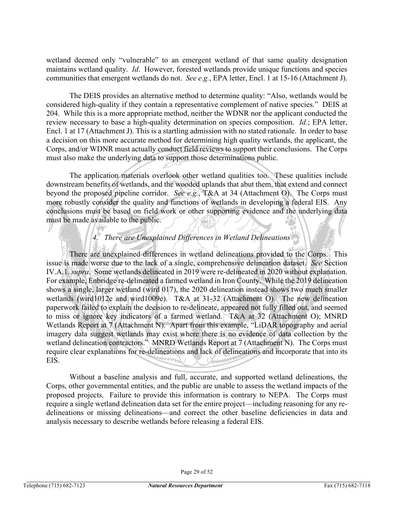wetland deemed only "vulnerable" to an emergent wetland of that same quality designation maintains wetland quality. *Id*. However, forested wetlands provide unique functions and species communities that emergent wetlands do not. *See e.g.*, EPA letter, Encl. 1 at 15-16 (Attachment J).

The DEIS provides an alternative method to determine quality: "Also, wetlands would be considered high-quality if they contain a representative complement of native species." DEIS at 204. While this is a more appropriate method, neither the WDNR nor the applicant conducted the review necessary to base a high-quality determination on species composition. *Id.*; EPA letter, Encl. 1 at 17 (Attachment J). This is a startling admission with no stated rationale. In order to base a decision on this more accurate method for determining high quality wetlands, the applicant, the Corps, and/or WDNR must actually conduct field reviews to support their conclusions. The Corps must also make the underlying data to support those determinations public.

The application materials overlook other wetland qualities too. These qualities include downstream benefits of wetlands, and the wooded uplands that abut them, that extend and connect beyond the proposed pipeline corridor. *See e.g.*, T&A at 34 (Attachment O). The Corps must more robustly consider the quality and functions of wetlands in developing a federal EIS. Any conclusions must be based on field work or other supporting evidence and the underlying data must be made available to the public.

## *4. There are Unexplained Differences in Wetland Delineations*

There are unexplained differences in wetland delineations provided to the Corps. This issue is made worse due to the lack of a single, comprehensive delineation dataset. *See* Section IV.A.1. *supra*. Some wetlands delineated in 2019 were re-delineated in 2020 without explanation. For example, Enbridge re-delineated a farmed wetland in Iron County. While the 2019 delineation shows a single, larger wetland (wird 017), the 2020 delineation instead shows two much smaller wetlands (wird1012e and wird1009e). T&A at 31-32 (Attachment O). The new delineation paperwork failed to explain the decision to re-delineate, appeared not fully filled out, and seemed to miss or ignore key indicators of a farmed wetland. T&A at 32 (Attachment O); MNRD Wetlands Report at 7 (Attachment N). Apart from this example, "LiDAR topography and aerial imagery data suggest wetlands may exist where there is no evidence of data collection by the wetland delineation contractors." MNRD Wetlands Report at 7 (Attachment N). The Corps must require clear explanations for re-delineations and lack of delineations and incorporate that into its EIS.

Without a baseline analysis and full, accurate, and supported wetland delineations, the Corps, other governmental entities, and the public are unable to assess the wetland impacts of the proposed projects. Failure to provide this information is contrary to NEPA. The Corps must require a single wetland delineation data set for the entire project—including reasoning for any redelineations or missing delineations—and correct the other baseline deficiencies in data and analysis necessary to describe wetlands before releasing a federal EIS.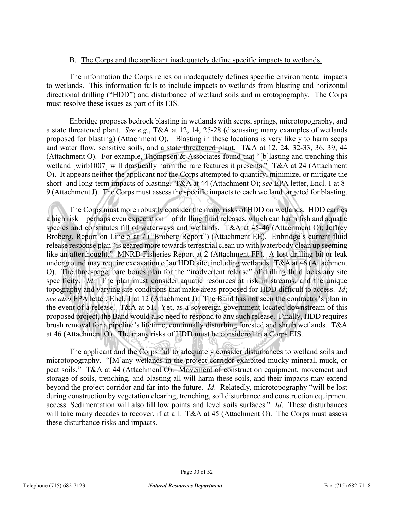#### B. The Corps and the applicant inadequately define specific impacts to wetlands.

The information the Corps relies on inadequately defines specific environmental impacts to wetlands. This information fails to include impacts to wetlands from blasting and horizontal directional drilling ("HDD") and disturbance of wetland soils and microtopography. The Corps must resolve these issues as part of its EIS.

Enbridge proposes bedrock blasting in wetlands with seeps, springs, microtopography, and a state threatened plant. *See e.g*., T&A at 12, 14, 25-28 (discussing many examples of wetlands proposed for blasting) (Attachment O). Blasting in these locations is very likely to harm seeps and water flow, sensitive soils, and a state threatened plant. T&A at 12, 24, 32-33, 36, 39, 44 (Attachment O). For example, Thompson & Associates found that "[b]lasting and trenching this wetland [wirb1007] will drastically harm the rare features it presents." T&A at 24 (Attachment O). It appears neither the applicant nor the Corps attempted to quantify, minimize, or mitigate the short- and long-term impacts of blasting. T&A at 44 (Attachment O); *see* EPA letter, Encl. 1 at 8- 9 (Attachment J). The Corps must assess the specific impacts to each wetland targeted for blasting.

The Corps must more robustly consider the many risks of HDD on wetlands. HDD carries a high risk—perhaps even expectation—of drilling fluid releases, which can harm fish and aquatic species and constitutes fill of waterways and wetlands. T&A at 45-46 (Attachment O); Jeffrey Broberg, Report on Line 5 at 7 ("Broberg Report") (Attachment EE). Enbridge's current fluid release response plan "is geared more towards terrestrial clean up with waterbody clean up seeming like an afterthought." MNRD Fisheries Report at 2 (Attachment FF). A lost drilling bit or leak underground may require excavation of an HDD site, including wetlands. T&A at 46 (Attachment O). The three-page, bare bones plan for the "inadvertent release" of drilling fluid lacks any site specificity. *Id*. The plan must consider aquatic resources at risk in streams, and the unique topography and varying site conditions that make areas proposed for HDD difficult to access. *Id*; *see also* EPA letter, Encl. 1 at 12 (Attachment J). The Band has not seen the contractor's plan in the event of a release. T&A at 51. Yet, as a sovereign government located downstream of this proposed project, the Band would also need to respond to any such release. Finally, HDD requires brush removal for a pipeline's lifetime, continually disturbing forested and shrub wetlands. T&A at 46 (Attachment O). The many risks of HDD must be considered in a Corps EIS.

The applicant and the Corps fail to adequately consider disturbances to wetland soils and microtopography. "[M]any wetlands in the project corridor exhibited mucky mineral, muck, or peat soils." T&A at 44 (Attachment O). Movement of construction equipment, movement and storage of soils, trenching, and blasting all will harm these soils, and their impacts may extend beyond the project corridor and far into the future. *Id*. Relatedly, microtopography "will be lost during construction by vegetation clearing, trenching, soil disturbance and construction equipment access. Sedimentation will also fill low points and level soils surfaces." *Id*. These disturbances will take many decades to recover, if at all. T&A at 45 (Attachment O). The Corps must assess these disturbance risks and impacts.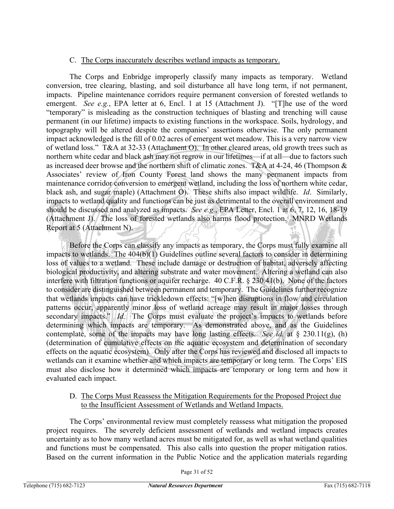#### C. The Corps inaccurately describes wetland impacts as temporary.

The Corps and Enbridge improperly classify many impacts as temporary. Wetland conversion, tree clearing, blasting, and soil disturbance all have long term, if not permanent, impacts. Pipeline maintenance corridors require permanent conversion of forested wetlands to emergent. *See e.g.*, EPA letter at 6, Encl. 1 at 15 (Attachment J). "[T]he use of the word "temporary" is misleading as the construction techniques of blasting and trenching will cause permanent (in our lifetime) impacts to existing functions in the workspace. Soils, hydrology, and topography will be altered despite the companies' assertions otherwise. The only permanent impact acknowledged is the fill of 0.02 acres of emergent wet meadow. This is a very narrow view of wetland loss." T&A at 32-33 (Attachment O). In other cleared areas, old growth trees such as northern white cedar and black ash may not regrow in our lifetimes—if at all—due to factors such as increased deer browse and the northern shift of climatic zones. T&A at 4-24, 46 (Thompson & Associates' review of Iron County Forest land shows the many permanent impacts from maintenance corridor conversion to emergent wetland, including the loss of northern white cedar, black ash, and sugar maple) (Attachment O). These shifts also impact wildlife. *Id*. Similarly, impacts to wetland quality and functions can be just as detrimental to the overall environment and should be discussed and analyzed as impacts. *See e.g.*, EPA Letter, Encl. 1 at 6, 7, 12, 16, 18-19 (Attachment J). The loss of forested wetlands also harms flood protection. MNRD Wetlands Report at 5 (Attachment N).

Before the Corps can classify any impacts as temporary, the Corps must fully examine all impacts to wetlands. The  $404(b)(1)$  Guidelines outline several factors to consider in determining loss of values to a wetland. These include damage or destruction of habitat, adversely affecting biological productivity, and altering substrate and water movement. Altering a wetland can also interfere with filtration functions or aquifer recharge. 40 C.F.R. § 230.41(b). None of the factors to consider are distinguished between permanent and temporary. The Guidelines further recognize that wetlands impacts can have trickledown effects: "[w]hen disruptions in flow and circulation patterns occur, apparently minor loss of wetland acreage may result in major losses through secondary impacts." *Id.* The Corps must evaluate the project's impacts to wetlands before determining which impacts are temporary. As demonstrated above, and as the Guidelines contemplate, some of the impacts may have long lasting effects. *See id.* at § 230.11(g), (h) (determination of cumulative effects on the aquatic ecosystem and determination of secondary effects on the aquatic ecosystem). Only after the Corps has reviewed and disclosed all impacts to wetlands can it examine whether and which impacts are temporary or long term. The Corps' EIS must also disclose how it determined which impacts are temporary or long term and how it evaluated each impact.

#### D. The Corps Must Reassess the Mitigation Requirements for the Proposed Project due to the Insufficient Assessment of Wetlands and Wetland Impacts.

The Corps' environmental review must completely reassess what mitigation the proposed project requires. The severely deficient assessment of wetlands and wetland impacts creates uncertainty as to how many wetland acres must be mitigated for, as well as what wetland qualities and functions must be compensated. This also calls into question the proper mitigation ratios. Based on the current information in the Public Notice and the application materials regarding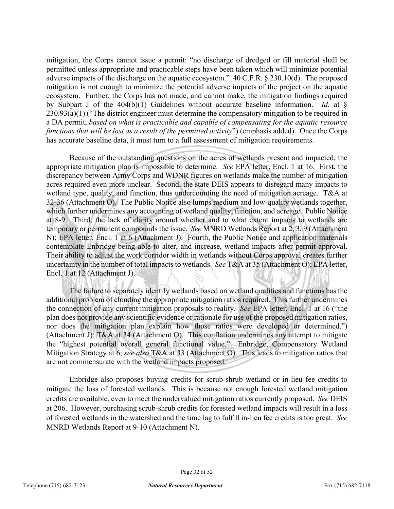mitigation, the Corps cannot issue a permit: "no discharge of dredged or fill material shall be permitted unless appropriate and practicable steps have been taken which will minimize potential adverse impacts of the discharge on the aquatic ecosystem." 40 C.F.R. § 230.10(d). The proposed mitigation is not enough to minimize the potential adverse impacts of the project on the aquatic ecosystem. Further, the Corps has not made, and cannot make, the mitigation findings required by Subpart J of the 404(b)(1) Guidelines without accurate baseline information. *Id.* at § 230.93(a)(1) ("The district engineer must determine the compensatory mitigation to be required in a DA permit, *based on what is practicable and capable of compensating for the aquatic resource functions that will be lost as a result of the permitted activity*") (emphasis added). Once the Corps has accurate baseline data, it must turn to a full assessment of mitigation requirements.

Because of the outstanding questions on the acres of wetlands present and impacted, the appropriate mitigation plan is impossible to determine. *See* EPA letter, Encl. 1 at 16. First, the discrepancy between Army Corps and WDNR figures on wetlands make the number of mitigation acres required even more unclear. Second, the state DEIS appears to disregard many impacts to wetland type, quality, and function, thus undercounting the need of mitigation acreage. T&A at 32-36 (Attachment O). The Public Notice also lumps medium and low-quality wetlands together, which further undermines any accounting of wetland quality, function, and acreage. Public Notice at 8-9. Third, the lack of clarity around whether and to what extent impacts to wetlands are temporary or permanent compounds the issue. *See* MNRD Wetlands Report at 2, 3, 9 (Attachment N); EPA letter, Encl. 1 at 6 (Attachment J). Fourth, the Public Notice and application materials contemplate Enbridge being able to alter, and increase, wetland impacts after permit approval. Their ability to adjust the work corridor width in wetlands without Corps approval creates further uncertainty in the number of total impacts to wetlands. *See* T&A at 35 (Attachment O); EPA letter, Encl. 1 at 12 (Attachment J).

The failure to separately identify wetlands based on wetland qualities and functions has the additional problem of clouding the appropriate mitigation ratios required. This further undermines the connection of any current mitigation proposals to reality. *See* EPA letter, Encl. 1 at 16 ("the plan does not provide any scientific evidence or rationale for use of the proposed mitigation ratios, nor does the mitigation plan explain how those ratios were developed or determined.") (Attachment J); T&A at 34 (Attachment O). This conflation undermines any attempt to mitigate the "highest potential overall general functional value." Enbridge, Compensatory Wetland Mitigation Strategy at 6; *see also* T&A at 33 (Attachment O). This leads to mitigation ratios that are not commensurate with the wetland impacts proposed.

Enbridge also proposes buying credits for scrub-shrub wetland or in-lieu fee credits to mitigate the loss of forested wetlands. This is because not enough forested wetland mitigation credits are available, even to meet the undervalued mitigation ratios currently proposed. *See* DEIS at 206. However, purchasing scrub-shrub credits for forested wetland impacts will result in a loss of forested wetlands in the watershed and the time lag to fulfill in-lieu fee credits is too great. *See*  MNRD Wetlands Report at 9-10 (Attachment N).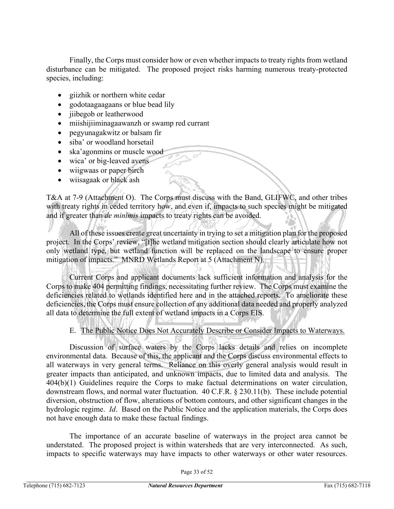Finally, the Corps must consider how or even whether impacts to treaty rights from wetland disturbance can be mitigated. The proposed project risks harming numerous treaty-protected species, including:

- giizhik or northern white cedar
- godotaagaagaans or blue bead lily
- jiibegob or leatherwood
- miishijiiminagaawanzh or swamp red currant
- pegyunagakwitz or balsam fir
- siba' or woodland horsetail
- ska'agonmins or muscle wood
- wica' or big-leaved avens
- wiigwaas or paper birch
- wiisagaak or black ash

T&A at 7-9 (Attachment O). The Corps must discuss with the Band, GLIFWC, and other tribes with treaty rights in ceded territory how, and even if, impacts to such species might be mitigated and if greater than *de minimis* impacts to treaty rights can be avoided.

All of these issues create great uncertainty in trying to set a mitigation plan for the proposed project. In the Corps' review, "[t]he wetland mitigation section should clearly articulate how not only wetland type, but wetland function will be replaced on the landscape to ensure proper mitigation of impacts." MNRD Wetlands Report at 5 (Attachment N).

Current Corps and applicant documents lack sufficient information and analysis for the Corps to make 404 permitting findings, necessitating further review. The Corps must examine the deficiencies related to wetlands identified here and in the attached reports. To ameliorate these deficiencies, the Corps must ensure collection of any additional data needed and properly analyzed all data to determine the full extent of wetland impacts in a Corps EIS.

E. The Public Notice Does Not Accurately Describe or Consider Impacts to Waterways.

Discussion of surface waters by the Corps lacks details and relies on incomplete environmental data. Because of this, the applicant and the Corps discuss environmental effects to all waterways in very general terms. Reliance on this overly general analysis would result in greater impacts than anticipated, and unknown impacts, due to limited data and analysis. The 404(b)(1) Guidelines require the Corps to make factual determinations on water circulation, downstream flows, and normal water fluctuation. 40 C.F.R. § 230.11(b). These include potential diversion, obstruction of flow, alterations of bottom contours, and other significant changes in the hydrologic regime. *Id*. Based on the Public Notice and the application materials, the Corps does not have enough data to make these factual findings.

The importance of an accurate baseline of waterways in the project area cannot be understated. The proposed project is within watersheds that are very interconnected. As such, impacts to specific waterways may have impacts to other waterways or other water resources.

Page 33 of 52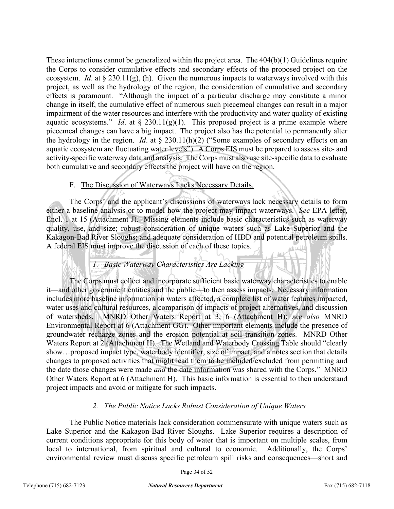These interactions cannot be generalized within the project area. The 404(b)(1) Guidelines require the Corps to consider cumulative effects and secondary effects of the proposed project on the ecosystem. *Id*. at § 230.11(g), (h). Given the numerous impacts to waterways involved with this project, as well as the hydrology of the region, the consideration of cumulative and secondary effects is paramount. "Although the impact of a particular discharge may constitute a minor change in itself, the cumulative effect of numerous such piecemeal changes can result in a major impairment of the water resources and interfere with the productivity and water quality of existing aquatic ecosystems." *Id.* at  $\S$  230.11(g)(1). This proposed project is a prime example where piecemeal changes can have a big impact. The project also has the potential to permanently alter the hydrology in the region. *Id*. at § 230.11(h)(2) ("Some examples of secondary effects on an aquatic ecosystem are fluctuating water levels"). A Corps EIS must be prepared to assess site- and activity-specific waterway data and analysis. The Corps must also use site-specific data to evaluate both cumulative and secondary effects the project will have on the region.

## F. The Discussion of Waterways Lacks Necessary Details.

The Corps' and the applicant's discussions of waterways lack necessary details to form either a baseline analysis or to model how the project may impact waterways. *See* EPA letter, Encl. 1 at 15 (Attachment J). Missing elements include basic characteristics such as waterway quality, use, and size; robust consideration of unique waters such as Lake Superior and the Kakagon-Bad River Sloughs; and adequate consideration of HDD and potential petroleum spills. A federal EIS must improve the discussion of each of these topics.

## *1. Basic Waterway Characteristics Are Lacking*

The Corps must collect and incorporate sufficient basic waterway characteristics to enable it—and other government entities and the public—to then assess impacts. Necessary information includes more baseline information on waters affected, a complete list of water features impacted, water uses and cultural resources, a comparison of impacts of project alternatives, and discussion of watersheds. MNRD Other Waters Report at 3, 6 (Attachment H); *see also* MNRD Environmental Report at 6 (Attachment GG). Other important elements include the presence of groundwater recharge zones and the erosion potential at soil transition zones. MNRD Other Waters Report at 2 (Attachment H). The Wetland and Waterbody Crossing Table should "clearly show…proposed impact type, waterbody identifier, size of impact, and a notes section that details changes to proposed activities that might lead them to be included/excluded from permitting and the date those changes were made *and* the date information was shared with the Corps." MNRD Other Waters Report at 6 (Attachment H). This basic information is essential to then understand project impacts and avoid or mitigate for such impacts.

## *2. The Public Notice Lacks Robust Consideration of Unique Waters*

The Public Notice materials lack consideration commensurate with unique waters such as Lake Superior and the Kakagon-Bad River Sloughs. Lake Superior requires a description of current conditions appropriate for this body of water that is important on multiple scales, from local to international, from spiritual and cultural to economic. Additionally, the Corps' environmental review must discuss specific petroleum spill risks and consequences—short and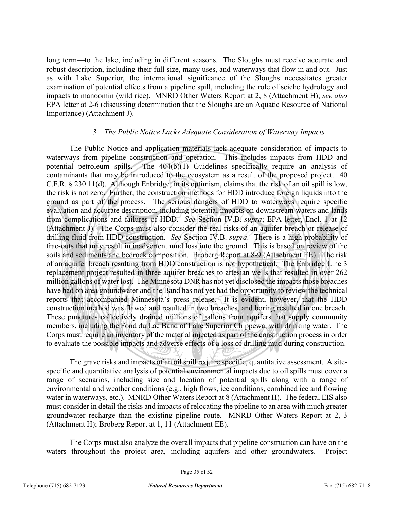long term—to the lake, including in different seasons. The Sloughs must receive accurate and robust description, including their full size, many uses, and waterways that flow in and out. Just as with Lake Superior, the international significance of the Sloughs necessitates greater examination of potential effects from a pipeline spill, including the role of seiche hydrology and impacts to manoomin (wild rice). MNRD Other Waters Report at 2, 8 (Attachment H); *see also* EPA letter at 2-6 (discussing determination that the Sloughs are an Aquatic Resource of National Importance) (Attachment J).

#### *3. The Public Notice Lacks Adequate Consideration of Waterway Impacts*

The Public Notice and application materials lack adequate consideration of impacts to waterways from pipeline construction and operation. This includes impacts from HDD and potential petroleum spills. The 404(b)(1) Guidelines specifically require an analysis of contaminants that may be introduced to the ecosystem as a result of the proposed project. 40 C.F.R. § 230.11(d). Although Enbridge, in its optimism, claims that the risk of an oil spill is low, the risk is not zero. Further, the construction methods for HDD introduce foreign liquids into the ground as part of the process. The serious dangers of HDD to waterways require specific evaluation and accurate description, including potential impacts on downstream waters and lands from complications and failures of HDD. *See* Section IV.B. *supra*; EPA letter, Encl. 1 at 12 (Attachment J). The Corps must also consider the real risks of an aquifer breach or release of drilling fluid from HDD construction. *See* Section IV.B. *supra*. There is a high probability of frac-outs that may result in inadvertent mud loss into the ground. This is based on review of the soils and sediments and bedrock composition. Broberg Report at 8-9 (Attachment EE). The risk of an aquifer breach resulting from HDD construction is not hypothetical. The Enbridge Line 3 replacement project resulted in three aquifer breaches to artesian wells that resulted in over 262 million gallons of water lost. The Minnesota DNR has not yet disclosed the impacts those breaches have had on area groundwater and the Band has not yet had the opportunity to review the technical reports that accompanied Minnesota's press release. It is evident, however, that the HDD construction method was flawed and resulted in two breaches, and boring resulted in one breach. These punctures collectively drained millions of gallons from aquifers that supply community members, including the Fond du Lac Band of Lake Superior Chippewa, with drinking water. The Corps must require an inventory of the material injected as part of the construction process in order to evaluate the possible impacts and adverse effects of a loss of drilling mud during construction.

The grave risks and impacts of an oil spill require specific, quantitative assessment. A sitespecific and quantitative analysis of potential environmental impacts due to oil spills must cover a range of scenarios, including size and location of potential spills along with a range of environmental and weather conditions (e.g., high flows, ice conditions, combined ice and flowing water in waterways, etc.). MNRD Other Waters Report at 8 (Attachment H). The federal EIS also must consider in detail the risks and impacts of relocating the pipeline to an area with much greater groundwater recharge than the existing pipeline route. MNRD Other Waters Report at 2, 3 (Attachment H); Broberg Report at 1, 11 (Attachment EE).

The Corps must also analyze the overall impacts that pipeline construction can have on the waters throughout the project area, including aquifers and other groundwaters. Project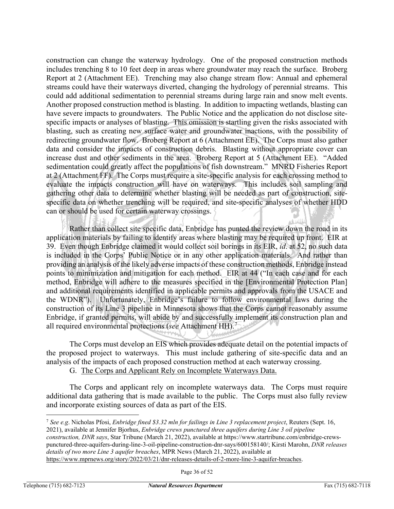construction can change the waterway hydrology. One of the proposed construction methods includes trenching 8 to 10 feet deep in areas where groundwater may reach the surface. Broberg Report at 2 (Attachment EE). Trenching may also change stream flow: Annual and ephemeral streams could have their waterways diverted, changing the hydrology of perennial streams. This could add additional sedimentation to perennial streams during large rain and snow melt events. Another proposed construction method is blasting. In addition to impacting wetlands, blasting can have severe impacts to groundwaters. The Public Notice and the application do not disclose sitespecific impacts or analyses of blasting. This omission is startling given the risks associated with blasting, such as creating new surface water and groundwater inactions, with the possibility of redirecting groundwater flow. Broberg Report at 6 (Attachment EE). The Corps must also gather data and consider the impacts of construction debris. Blasting without appropriate cover can increase dust and other sediments in the area. Broberg Report at 5 (Attachment EE). "Added sedimentation could greatly affect the populations of fish downstream." MNRD Fisheries Report at 2 (Attachment FF). The Corps must require a site-specific analysis for each crossing method to evaluate the impacts construction will have on waterways. This includes soil sampling and gathering other data to determine whether blasting will be needed as part of construction, sitespecific data on whether trenching will be required, and site-specific analyses of whether HDD can or should be used for certain waterway crossings.

بللحقم Rather than collect site specific data, Enbridge has punted the review down the road in its application materials by failing to identify areas where blasting may be required up front. EIR at 39. Even though Enbridge claimed it would collect soil borings in its EIR, *id*. at 52, no such data is included in the Corps' Public Notice or in any other application materials. And rather than providing an analysis of the likely adverse impacts of these construction methods, Enbridge instead points to minimization and mitigation for each method. EIR at 44 ("In each case and for each method, Enbridge will adhere to the measures specified in the [Environmental Protection Plan] and additional requirements identified in applicable permits and approvals from the USACE and the WDNR"). Unfortunately, Enbridge's failure to follow environmental laws during the construction of its Line 3 pipeline in Minnesota shows that the Corps cannot reasonably assume Enbridge, if granted permits, will abide by and successfully implement its construction plan and all required environmental protections (*see* Attachment HH). [7](#page-35-0)

The Corps must develop an EIS which provides adequate detail on the potential impacts of the proposed project to waterways. This must include gathering of site-specific data and an analysis of the impacts of each proposed construction method at each waterway crossing.

G. The Corps and Applicant Rely on Incomplete Waterways Data.

The Corps and applicant rely on incomplete waterways data. The Corps must require additional data gathering that is made available to the public. The Corps must also fully review and incorporate existing sources of data as part of the EIS.

<span id="page-35-0"></span><sup>7</sup> *See e.g*. Nicholas Pfosi, *Enbridge fined \$3.32 mln for failings in Line 3 replacement project*, Reuters (Sept. 16, 2021), available at Jennifer Bjorhus, *Enbridge crews punctured three aquifers during Line 3 oil pipeline construction, DNR says*, Star Tribune (March 21, 2022), available at https://www.startribune.com/enbridge-crewspunctured-three-aquifers-during-line-3-oil-pipeline-construction-dnr-says/600158140/; Kirsti Marohn, *DNR releases details of two more Line 3 aquifer breaches*, MPR News (March 21, 2022), available at [https://www.mprnews.org/story/2022/03/21/dnr-releases-details-of-2-more-line-3-aquifer-breaches.](https://www.mprnews.org/story/2022/03/21/dnr-releases-details-of-2-more-line-3-aquifer-breaches)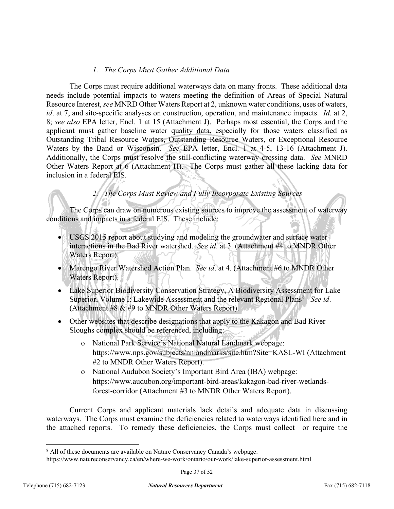## *1. The Corps Must Gather Additional Data*

The Corps must require additional waterways data on many fronts. These additional data needs include potential impacts to waters meeting the definition of Areas of Special Natural Resource Interest, *see* MNRD Other Waters Report at 2, unknown water conditions, uses of waters, *id*. at 7, and site-specific analyses on construction, operation, and maintenance impacts. *Id*. at 2, 8; *see also* EPA letter, Encl. 1 at 15 (Attachment J). Perhaps most essential, the Corps and the applicant must gather baseline water quality data, especially for those waters classified as Outstanding Tribal Resource Waters, Outstanding Resource Waters, or Exceptional Resource Waters by the Band or Wisconsin. *See* EPA letter, Encl. 1 at 4-5, 13-16 (Attachment J). Additionally, the Corps must resolve the still-conflicting waterway crossing data. *See* MNRD Other Waters Report at 6 (Attachment H). The Corps must gather all these lacking data for inclusion in a federal EIS.

## *2. The Corps Must Review and Fully Incorporate Existing Sources*

The Corps can draw on numerous existing sources to improve the assessment of waterway conditions and impacts in a federal EIS. These include:

- USGS 2015 report about studying and modeling the groundwater and surface water interactions in the Bad River watershed. *See id*. at 3. (Attachment #4 to MNDR Other Waters Report).
- Marengo River Watershed Action Plan. *See id*. at 4. (Attachment #6 to MNDR Other Waters Report).
- Lake Superior Biodiversity Conservation Strategy, A Biodiversity Assessment for Lake Superior, Volume I: Lakewide Assessment and the relevant Regional Plans<sup>[8](#page-36-0)</sup> See id. (Attachment #8  $\&$  #9 to MNDR Other Waters Report).
- Other websites that describe designations that apply to the Kakagon and Bad River Sloughs complex should be referenced, including:
	- o National Park Service's National Natural Landmark webpage: https://www.nps.gov/subjects/nnlandmarks/site.htm?Site=KASL-WI (Attachment #2 to MNDR Other Waters Report).
	- o National Audubon Society's Important Bird Area (IBA) webpage: https://www.audubon.org/important-bird-areas/kakagon-bad-river-wetlandsforest-corridor (Attachment #3 to MNDR Other Waters Report).

Current Corps and applicant materials lack details and adequate data in discussing waterways. The Corps must examine the deficiencies related to waterways identified here and in the attached reports. To remedy these deficiencies, the Corps must collect—or require the

<span id="page-36-0"></span><sup>&</sup>lt;sup>8</sup> All of these documents are available on Nature Conservancy Canada's webpage:

https://www.natureconservancy.ca/en/where-we-work/ontario/our-work/lake-superior-assessment.html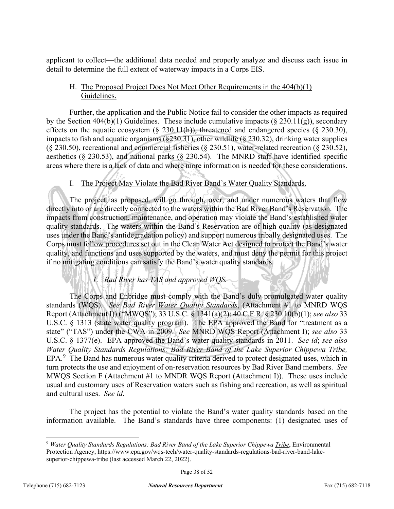applicant to collect—the additional data needed and properly analyze and discuss each issue in detail to determine the full extent of waterway impacts in a Corps EIS.

## H. The Proposed Project Does Not Meet Other Requirements in the 404(b)(1) Guidelines.

Further, the application and the Public Notice fail to consider the other impacts as required by the Section 404(b)(1) Guidelines. These include cumulative impacts ( $\S 230.11(g)$ ), secondary effects on the aquatic ecosystem  $(\S 230.11(h))$ , threatened and endangered species  $(\S 230.30)$ , impacts to fish and aquatic organisms  $(\S 230.31)$ , other wildlife  $(\S 230.32)$ , drinking water supplies (§ 230.50), recreational and commercial fisheries (§ 230.51), water-related recreation (§ 230.52), aesthetics (§ 230.53), and national parks (§ 230.54). The MNRD staff have identified specific areas where there is a lack of data and where more information is needed for these considerations.

## I. The Project May Violate the Bad River Band's Water Quality Standards.

The project, as proposed, will go through, over, and under numerous waters that flow directly into or are directly connected to the waters within the Bad River Band's Reservation. The impacts from construction, maintenance, and operation may violate the Band's established water quality standards. The waters within the Band's Reservation are of high quality (as designated uses under the Band's antidegradation policy) and support numerous tribally designated uses. The Corps must follow procedures set out in the Clean Water Act designed to protect the Band's water quality, and functions and uses supported by the waters, and must deny the permit for this project if no mitigating conditions can satisfy the Band's water quality standards.

## *1. Bad River has TAS and approved WQS.*

The Corps and Enbridge must comply with the Band's duly promulgated water quality standards (WQS). *See Bad River Water Quality Standards*, (Attachment #1 to MNRD WQS Report (Attachment I)) ("MWQS"); 33 U.S.C. § 1341(a)(2); 40 C.F.R. § 230.10(b)(1); *see also* 33 U.S.C. § 1313 (state water quality program). The EPA approved the Band for "treatment as a state" ("TAS") under the CWA in 2009. *See* MNRD WQS Report (Attachment I); *see also* 33 U.S.C. § 1377(e). EPA approved the Band's water quality standards in 2011. *See id*; *see also Water Quality Standards Regulations: Bad River Band of the Lake Superior Chippewa Tribe,*  EPA.<sup>[9](#page-37-0)</sup> The Band has numerous water quality criteria derived to protect designated uses, which in turn protects the use and enjoyment of on-reservation resources by Bad River Band members. *See*  MWQS Section F (Attachment #1 to MNDR WQS Report (Attachment I)). These uses include usual and customary uses of Reservation waters such as fishing and recreation, as well as spiritual and cultural uses. *See id*.

The project has the potential to violate the Band's water quality standards based on the information available. The Band's standards have three components: (1) designated uses of

<span id="page-37-0"></span><sup>9</sup> *Water Quality Standards Regulations: Bad River Band of the Lake Superior Chippewa Tribe*, Environmental Protection Agency, https://www.epa.gov/wqs-tech/water-quality-standards-regulations-bad-river-band-lakesuperior-chippewa-tribe (last accessed March 22, 2022).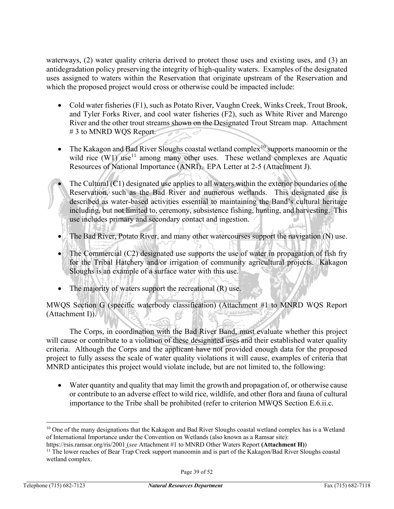waterways, (2) water quality criteria derived to protect those uses and existing uses, and (3) an antidegradation policy preserving the integrity of high-quality waters. Examples of the designated uses assigned to waters within the Reservation that originate upstream of the Reservation and which the proposed project would cross or otherwise could be impacted include:

- Cold water fisheries (F1), such as Potato River, Vaughn Creek, Winks Creek, Trout Brook, and Tyler Forks River, and cool water fisheries (F2), such as White River and Marengo River and the other trout streams shown on the Designated Trout Stream map. Attachment # 3 to MNRD WQS Report.
- The Kakagon and Bad River Sloughs coastal wetland complex<sup>[10](#page-38-0)</sup> supports manoomin or the wild rice  $(W1)$  use<sup>[11](#page-38-1)</sup> among many other uses. These wetland complexes are Aquatic Resources of National Importance (ANRI). EPA Letter at 2-5 (Attachment J).
- The Cultural  $(C1)$  designated use applies to all waters within the exterior boundaries of the Reservation, such as the Bad River and numerous wetlands. This designated use is described as water-based activities essential to maintaining the Band's cultural heritage including, but not limited to, ceremony, subsistence fishing, hunting, and harvesting. This use includes primary and secondary contact and ingestion.
- The Bad River, Potato River, and many other watercourses support the navigation (N) use.
- The Commercial (C2) designated use supports the use of water in propagation of fish fry for the Tribal Hatchery and/or irrigation of community agricultural projects. Kakagon Sloughs is an example of a surface water with this use.
- The majority of waters support the recreational (R) use.

MWQS Section G (specific waterbody classification) (Attachment #1 to MNRD WQS Report (Attachment I)).

The Corps, in coordination with the Bad River Band, must evaluate whether this project will cause or contribute to a violation of these designated uses and their established water quality criteria. Although the Corps and the applicant have not provided enough data for the proposed project to fully assess the scale of water quality violations it will cause, examples of criteria that MNRD anticipates this project would violate include, but are not limited to, the following:

• Water quantity and quality that may limit the growth and propagation of, or otherwise cause or contribute to an adverse effect to wild rice, wildlife, and other flora and fauna of cultural importance to the Tribe shall be prohibited (refer to criterion MWQS Section E.6.ii.c.

<span id="page-38-0"></span> $10$  One of the many designations that the Kakagon and Bad River Sloughs coastal wetland complex has is a Wetland of International Importance under the Convention on Wetlands (also known as a Ramsar site):

https://rsis.ramsar.org/ris/2001 (*see* Attachment #1 to MNRD Other Waters Report **(Attachment H)**)

<span id="page-38-1"></span><sup>&</sup>lt;sup>11</sup> The lower reaches of Bear Trap Creek support manoomin and is part of the Kakagon/Bad River Sloughs coastal wetland complex.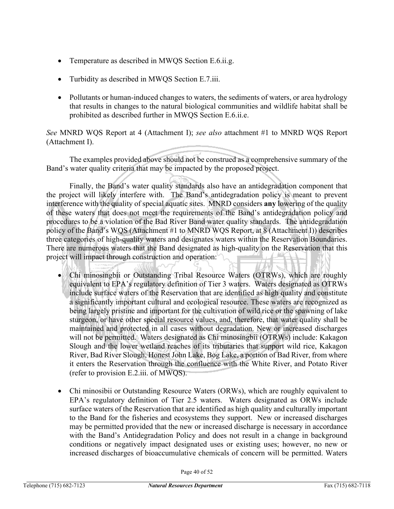- Temperature as described in MWOS Section E.6.ii.g.
- Turbidity as described in MWQS Section E.7.iii.
- Pollutants or human-induced changes to waters, the sediments of waters, or area hydrology that results in changes to the natural biological communities and wildlife habitat shall be prohibited as described further in MWQS Section E.6.ii.e.

*See* MNRD WQS Report at 4 (Attachment I); *see also* attachment #1 to MNRD WQS Report (Attachment I).

The examples provided above should not be construed as a comprehensive summary of the Band's water quality criteria that may be impacted by the proposed project.

Finally, the Band's water quality standards also have an antidegradation component that the project will likely interfere with. The Band's antidegradation policy is meant to prevent interference with the quality of special aquatic sites. MNRD considers **any** lowering of the quality of these waters that does not meet the requirements of the Band's antidegradation policy and procedures to be a violation of the Bad River Band water quality standards. The antidegradation policy of the Band's WQS (Attachment #1 to MNRD WQS Report, at 8 (Attachment I)) describes three categories of high-quality waters and designates waters within the Reservation Boundaries. There are numerous waters that the Band designated as high-quality on the Reservation that this project will impact through construction and operation:

- Chi minosingbii or Outstanding Tribal Resource Waters (OTRWs), which are roughly equivalent to EPA's regulatory definition of Tier 3 waters. Waters designated as OTRWs include surface waters of the Reservation that are identified as high quality and constitute a significantly important cultural and ecological resource. These waters are recognized as being largely pristine and important for the cultivation of wild rice or the spawning of lake sturgeon, or have other special resource values, and, therefore, that water quality shall be maintained and protected in all cases without degradation. New or increased discharges will not be permitted. Waters designated as Chi minosingbii (OTRWs) include: Kakagon Slough and the lower wetland reaches of its tributaries that support wild rice, Kakagon River, Bad River Slough, Honest John Lake, Bog Lake, a portion of Bad River, from where it enters the Reservation through the confluence with the White River, and Potato River (refer to provision E.2.iii. of MWQS).
- Chi minosibii or Outstanding Resource Waters (ORWs), which are roughly equivalent to EPA's regulatory definition of Tier 2.5 waters. Waters designated as ORWs include surface waters of the Reservation that are identified as high quality and culturally important to the Band for the fisheries and ecosystems they support. New or increased discharges may be permitted provided that the new or increased discharge is necessary in accordance with the Band's Antidegradation Policy and does not result in a change in background conditions or negatively impact designated uses or existing uses; however, no new or increased discharges of bioaccumulative chemicals of concern will be permitted. Waters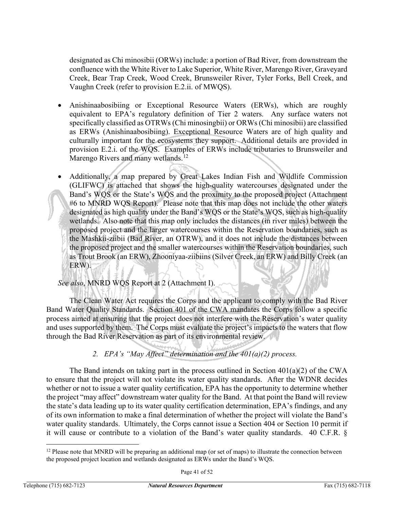designated as Chi minosibii (ORWs) include: a portion of Bad River, from downstream the confluence with the White River to Lake Superior, White River, Marengo River, Graveyard Creek, Bear Trap Creek, Wood Creek, Brunsweiler River, Tyler Forks, Bell Creek, and Vaughn Creek (refer to provision E.2.ii. of MWQS).

- Anishinaabosibiing or Exceptional Resource Waters (ERWs), which are roughly equivalent to EPA's regulatory definition of Tier 2 waters. Any surface waters not specifically classified as OTRWs (Chi minosingbii) or ORWs (Chi minosibii) are classified as ERWs (Anishinaabosibiing). Exceptional Resource Waters are of high quality and culturally important for the ecosystems they support. Additional details are provided in provision E.2.i. of the WQS. Examples of ERWs include tributaries to Brunsweiler and Marengo Rivers and many wetlands.<sup>[12](#page-40-0)</sup>
- Additionally, a map prepared by Great Lakes Indian Fish and Wildlife Commission (GLIFWC) is attached that shows the high-quality watercourses designated under the Band's WQS or the State's WQS and the proximity to the proposed project (Attachment #6 to MNRD WQS Report). Please note that this map does not include the other waters designated as high quality under the Band's WQS or the State's WQS, such as high-quality wetlands. Also note that this map only includes the distances (in river miles) between the proposed project and the larger watercourses within the Reservation boundaries, such as the Mashkii-ziibii (Bad River, an OTRW), and it does not include the distances between the proposed project and the smaller watercourses within the Reservation boundaries, such as Trout Brook (an ERW), Zhooniyaa-ziibiins (Silver Creek, an ERW) and Billy Creek (an ERW).

## *See also*, MNRD WQS Report at 2 (Attachment I).

The Clean Water Act requires the Corps and the applicant to comply with the Bad River Band Water Quality Standards. Section 401 of the CWA mandates the Corps follow a specific process aimed at ensuring that the project does not interfere with the Reservation's water quality and uses supported by them. The Corps must evaluate the project's impacts to the waters that flow through the Bad River Reservation as part of its environmental review.

## *2. EPA's "May Affect" determination and the 401(a)(2) process.*

The Band intends on taking part in the process outlined in Section 401(a)(2) of the CWA to ensure that the project will not violate its water quality standards. After the WDNR decides whether or not to issue a water quality certification, EPA has the opportunity to determine whether the project "may affect" downstream water quality for the Band. At that point the Band will review the state's data leading up to its water quality certification determination, EPA's findings, and any of its own information to make a final determination of whether the project will violate the Band's water quality standards. Ultimately, the Corps cannot issue a Section 404 or Section 10 permit if it will cause or contribute to a violation of the Band's water quality standards. 40 C.F.R. §

<span id="page-40-0"></span> $12$  Please note that MNRD will be preparing an additional map (or set of maps) to illustrate the connection between the proposed project location and wetlands designated as ERWs under the Band's WQS.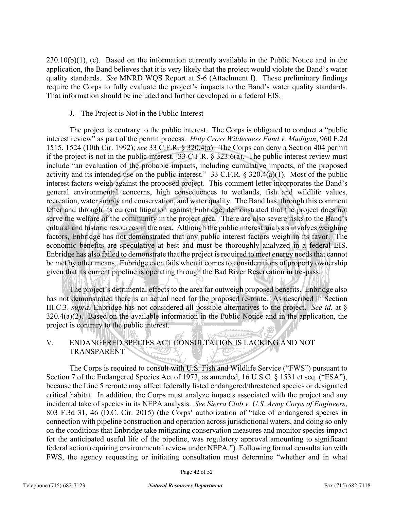230.10(b)(1), (c). Based on the information currently available in the Public Notice and in the application, the Band believes that it is very likely that the project would violate the Band's water quality standards. *See* MNRD WQS Report at 5-6 (Attachment I). These preliminary findings require the Corps to fully evaluate the project's impacts to the Band's water quality standards. That information should be included and further developed in a federal EIS.

## J. The Project is Not in the Public Interest

The project is contrary to the public interest. The Corps is obligated to conduct a "public interest review" as part of the permit process. *Holy Cross Wilderness Fund v. Madigan*, 960 F.2d 1515, 1524 (10th Cir. 1992); *see* 33 C.F.R. § 320.4(a). The Corps can deny a Section 404 permit if the project is not in the public interest. 33 C.F.R. § 323.6(a). The public interest review must include "an evaluation of the probable impacts, including cumulative impacts, of the proposed activity and its intended use on the public interest." 33 C.F.R. § 320.4(a)(1). Most of the public interest factors weigh against the proposed project. This comment letter incorporates the Band's general environmental concerns, high consequences to wetlands, fish and wildlife values, recreation, water supply and conservation, and water quality. The Band has, through this comment letter and through its current litigation against Enbridge, demonstrated that the project does not serve the welfare of the community in the project area. There are also severe risks to the Band's cultural and historic resources in the area. Although the public interest analysis involves weighing factors, Enbridge has not demonstrated that any public interest factors weigh in its favor. The economic benefits are speculative at best and must be thoroughly analyzed in a federal EIS. Enbridge has also failed to demonstrate that the project is required to meet energy needs that cannot be met by other means. Enbridge even fails when it comes to considerations of property ownership given that its current pipeline is operating through the Bad River Reservation in trespass.

The project's detrimental effects to the area far outweigh proposed benefits. Enbridge also has not demonstrated there is an actual need for the proposed re-route. As described in Section III.C.3. *supra*, Enbridge has not considered all possible alternatives to the project. *See id.* at § 320.4(a)(2). Based on the available information in the Public Notice and in the application, the project is contrary to the public interest.

## V. ENDANGERED SPECIES ACT CONSULTATION IS LACKING AND NOT TRANSPARENT

The Corps is required to consult with U.S. Fish and Wildlife Service ("FWS") pursuant to Section 7 of the Endangered Species Act of 1973, as amended, 16 U.S.C. § 1531 et seq. ("ESA"), because the Line 5 reroute may affect federally listed endangered/threatened species or designated critical habitat. In addition, the Corps must analyze impacts associated with the project and any incidental take of species in its NEPA analysis. *See Sierra Club v. U.S. Army Corps of Engineers*, 803 F.3d 31, 46 (D.C. Cir. 2015) (the Corps' authorization of "take of endangered species in connection with pipeline construction and operation across jurisdictional waters, and doing so only on the conditions that Enbridge take mitigating conservation measures and monitor species impact for the anticipated useful life of the pipeline, was regulatory approval amounting to significant federal action requiring environmental review under NEPA."). Following formal consultation with FWS, the agency requesting or initiating consultation must determine "whether and in what

Page 42 of 52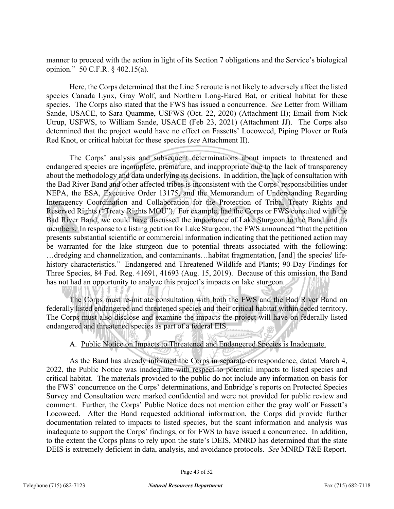manner to proceed with the action in light of its Section 7 obligations and the Service's biological opinion." 50 C.F.R. § 402.15(a).

Here, the Corps determined that the Line 5 reroute is not likely to adversely affect the listed species Canada Lynx, Gray Wolf, and Northern Long-Eared Bat, or critical habitat for these species. The Corps also stated that the FWS has issued a concurrence. *See* Letter from William Sande, USACE, to Sara Quamme, USFWS (Oct. 22, 2020) (Attachment II); Email from Nick Utrup, USFWS, to William Sande, USACE (Feb 23, 2021) (Attachment JJ). The Corps also determined that the project would have no effect on Fassetts' Locoweed, Piping Plover or Rufa Red Knot, or critical habitat for these species (*see* Attachment II).

The Corps' analysis and subsequent determinations about impacts to threatened and endangered species are incomplete, premature, and inappropriate due to the lack of transparency about the methodology and data underlying its decisions. In addition, the lack of consultation with the Bad River Band and other affected tribes is inconsistent with the Corps' responsibilities under NEPA, the ESA, Executive Order 13175, and the Memorandum of Understanding Regarding Interagency Coordination and Collaboration for the Protection of Tribal Treaty Rights and Reserved Rights ("Treaty Rights MOU"). For example, had the Corps or FWS consulted with the Bad River Band, we could have discussed the importance of Lake Sturgeon to the Band and its members. In response to a listing petition for Lake Sturgeon, the FWS announced "that the petition presents substantial scientific or commercial information indicating that the petitioned action may be warranted for the lake sturgeon due to potential threats associated with the following: …dredging and channelization, and contaminants…habitat fragmentation, [and] the species' lifehistory characteristics." Endangered and Threatened Wildlife and Plants; 90-Day Findings for Three Species, 84 Fed. Reg. 41691, 41693 (Aug. 15, 2019). Because of this omission, the Band has not had an opportunity to analyze this project's impacts on lake sturgeon.

The Corps must re-initiate consultation with both the FWS and the Bad River Band on federally listed endangered and threatened species and their critical habitat within ceded territory. The Corps must also disclose and examine the impacts the project will have on federally listed endangered and threatened species as part of a federal EIS.

## A. Public Notice on Impacts to Threatened and Endangered Species is Inadequate.

As the Band has already informed the Corps in separate correspondence, dated March 4, 2022, the Public Notice was inadequate with respect to potential impacts to listed species and critical habitat. The materials provided to the public do not include any information on basis for the FWS' concurrence on the Corps' determinations, and Enbridge's reports on Protected Species Survey and Consultation were marked confidential and were not provided for public review and comment. Further, the Corps' Public Notice does not mention either the gray wolf or Fassett's Locoweed. After the Band requested additional information, the Corps did provide further documentation related to impacts to listed species, but the scant information and analysis was inadequate to support the Corps' findings, or for FWS to have issued a concurrence. In addition, to the extent the Corps plans to rely upon the state's DEIS, MNRD has determined that the state DEIS is extremely deficient in data, analysis, and avoidance protocols. *See* MNRD T&E Report.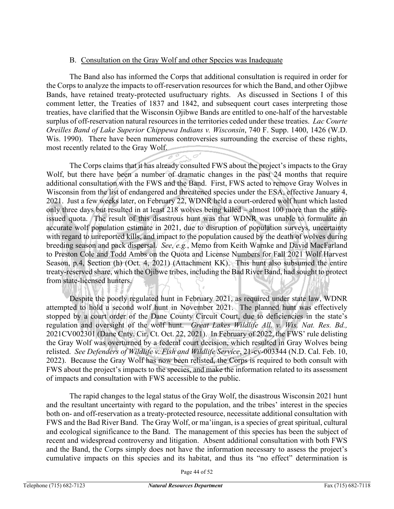## B. Consultation on the Gray Wolf and other Species was Inadequate

The Band also has informed the Corps that additional consultation is required in order for the Corps to analyze the impacts to off-reservation resources for which the Band, and other Ojibwe Bands, have retained treaty-protected usufructuary rights. As discussed in Sections I of this comment letter, the Treaties of 1837 and 1842, and subsequent court cases interpreting those treaties, have clarified that the Wisconsin Ojibwe Bands are entitled to one-half of the harvestable surplus of off-reservation natural resources in the territories ceded under these treaties. *Lac Courte Oreilles Band of Lake Superior Chippewa Indians v. Wisconsin*, 740 F. Supp. 1400, 1426 (W.D. Wis. 1990). There have been numerous controversies surrounding the exercise of these rights, most recently related to the Gray Wolf.

The Corps claims that it has already consulted FWS about the project's impacts to the Gray Wolf, but there have been a number of dramatic changes in the past 24 months that require additional consultation with the FWS and the Band. First, FWS acted to remove Gray Wolves in Wisconsin from the list of endangered and threatened species under the ESA, effective January 4, 2021. Just a few weeks later, on February 22, WDNR held a court-ordered wolf hunt which lasted only three days but resulted in at least 218 wolves being killed – almost 100 more than the stateissued quota. The result of this disastrous hunt was that WDNR was unable to formulate an accurate wolf population estimate in 2021, due to disruption of population surveys, uncertainty with regard to unreported kills, and impact to the population caused by the death of wolves during breeding season and pack dispersal. *See, e.g.*, Memo from Keith Warnke and David MacFarland to Preston Cole and Todd Ambs on the Quota and License Numbers for Fall 2021 Wolf Harvest Season, p.4, Section (h) (Oct. 4, 2021) (Attachment KK). This hunt also subsumed the entire treaty-reserved share, which the Ojibwe tribes, including the Bad River Band, had sought to protect from state-licensed hunters.

Despite the poorly regulated hunt in February 2021, as required under state law, WDNR attempted to hold a second wolf hunt in November 2021. The planned hunt was effectively stopped by a court order of the Dane County Circuit Court, due to deficiencies in the state's regulation and oversight of the wolf hunt. *Great Lakes Wildlife All. v. Wis. Nat. Res. Bd.,* 2021CV002301 (Dane Cnty. Cir. Ct. Oct. 22, 2021). In February of 2022, the FWS' rule delisting the Gray Wolf was overturned by a federal court decision, which resulted in Gray Wolves being relisted. *See Defenders of Wildlife v. Fish and Wildlife Service*, 21-cv-003344 (N.D. Cal. Feb. 10, 2022). Because the Gray Wolf has now been relisted, the Corps is required to both consult with FWS about the project's impacts to the species, and make the information related to its assessment of impacts and consultation with FWS accessible to the public.

The rapid changes to the legal status of the Gray Wolf, the disastrous Wisconsin 2021 hunt and the resultant uncertainty with regard to the population, and the tribes' interest in the species both on- and off-reservation as a treaty-protected resource, necessitate additional consultation with FWS and the Bad River Band. The Gray Wolf, or ma'iingan, is a species of great spiritual, cultural and ecological significance to the Band. The management of this species has been the subject of recent and widespread controversy and litigation. Absent additional consultation with both FWS and the Band, the Corps simply does not have the information necessary to assess the project's cumulative impacts on this species and its habitat, and thus its "no effect" determination is

Page 44 of 52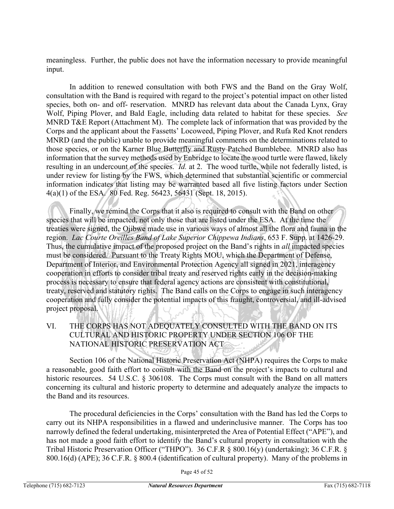meaningless. Further, the public does not have the information necessary to provide meaningful input.

In addition to renewed consultation with both FWS and the Band on the Gray Wolf, consultation with the Band is required with regard to the project's potential impact on other listed species, both on- and off- reservation. MNRD has relevant data about the Canada Lynx, Gray Wolf, Piping Plover, and Bald Eagle, including data related to habitat for these species. *See*  MNRD T&E Report (Attachment M). The complete lack of information that was provided by the Corps and the applicant about the Fassetts' Locoweed, Piping Plover, and Rufa Red Knot renders MNRD (and the public) unable to provide meaningful comments on the determinations related to those species, or on the Karner Blue Butterfly and Rusty Patched Bumblebee. MNRD also has information that the survey methods used by Enbridge to locate the wood turtle were flawed, likely resulting in an undercount of the species. *Id.* at 2. The wood turtle, while not federally listed, is under review for listing by the FWS, which determined that substantial scientific or commercial information indicates that listing may be warranted based all five listing factors under Section 4(a)(1) of the ESA. 80 Fed. Reg. 56423, 56431 (Sept. 18, 2015).

Finally, we remind the Corps that it also is required to consult with the Band on other species that will be impacted, not only those that are listed under the ESA. At the time the treaties were signed, the Ojibwe made use in various ways of almost all the flora and fauna in the region. *Lac Courte Oreilles Band of Lake Superior Chippewa Indians*, 653 F. Supp. at 1426-29. Thus, the cumulative impact of the proposed project on the Band's rights in *all* impacted species must be considered. Pursuant to the Treaty Rights MOU, which the Department of Defense, Department of Interior, and Environmental Protection Agency all signed in 2021, interagency cooperation in efforts to consider tribal treaty and reserved rights early in the decision-making process is necessary to ensure that federal agency actions are consistent with constitutional, treaty, reserved and statutory rights. The Band calls on the Corps to engage in such interagency cooperation and fully consider the potential impacts of this fraught, controversial, and ill-advised project proposal.

VI. THE CORPS HAS NOT ADEQUATELY CONSULTED WITH THE BAND ON ITS CULTURAL AND HISTORIC PROPERTY UNDER SECTION 106 OF THE NATIONAL HISTORIC PRESERVATION ACT

Section 106 of the National Historic Preservation Act (NHPA) requires the Corps to make a reasonable, good faith effort to consult with the Band on the project's impacts to cultural and historic resources. 54 U.S.C. § 306108. The Corps must consult with the Band on all matters concerning its cultural and historic property to determine and adequately analyze the impacts to the Band and its resources.

The procedural deficiencies in the Corps' consultation with the Band has led the Corps to carry out its NHPA responsibilities in a flawed and underinclusive manner. The Corps has too narrowly defined the federal undertaking, misinterpreted the Area of Potential Effect ("APE"), and has not made a good faith effort to identify the Band's cultural property in consultation with the Tribal Historic Preservation Officer ("THPO"). 36 C.F.R § 800.16(y) (undertaking); 36 C.F.R. § 800.16(d) (APE); 36 C.F.R. § 800.4 (identification of cultural property). Many of the problems in

Page 45 of 52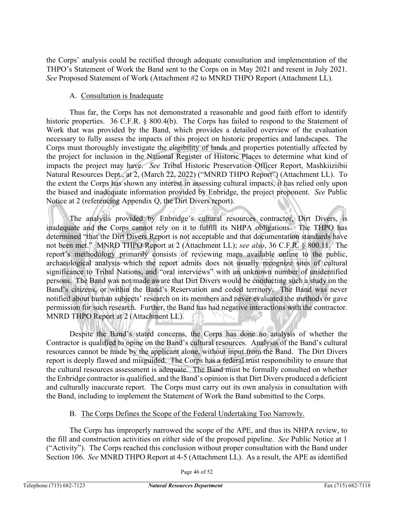the Corps' analysis could be rectified through adequate consultation and implementation of the THPO's Statement of Work the Band sent to the Corps on in May 2021 and resent in July 2021. *See* Proposed Statement of Work (Attachment #2 to MNRD THPO Report (Attachment LL).

## A. Consultation is Inadequate

Thus far, the Corps has not demonstrated a reasonable and good faith effort to identify historic properties. 36 C.F.R. § 800.4(b). The Corps has failed to respond to the Statement of Work that was provided by the Band, which provides a detailed overview of the evaluation necessary to fully assess the impacts of this project on historic properties and landscapes. The Corps must thoroughly investigate the eligibility of lands and properties potentially affected by the project for inclusion in the National Register of Historic Places to determine what kind of impacts the project may have. *See* Tribal Historic Preservation Officer Report, Mashkiiziibii Natural Resources Dept., at 2, (March 22, 2022) ("MNRD THPO Report") (Attachment LL). To the extent the Corps has shown any interest in assessing cultural impacts, it has relied only upon the biased and inadequate information provided by Enbridge, the project proponent. *See* Public Notice at 2 (referencing Appendix Q, the Dirt Divers report).

The analysis provided by Enbridge's cultural resources contractor, Dirt Divers, is inadequate and the Corps cannot rely on it to fulfill its NHPA obligations. The THPO has determined "that the Dirt Divers Report is not acceptable and that documentation standards have not been met." MNRD THPO Report at 2 (Attachment LL); *see also*, 36 C.F.R. § 800.11. The report's methodology primarily consists of reviewing maps available online to the public, archaeological analysis which the report admits does not usually recognize sites of cultural significance to Tribal Nations, and "oral interviews" with an unknown number of unidentified persons. The Band was not made aware that Dirt Divers would be conducting such a study on the Band's citizens, or within the Band's Reservation and ceded territory. The Band was never notified about human subjects' research on its members and never evaluated the methods or gave permission for such research. Further, the Band has had negative interactions with the contractor. MNRD THPO Report at 2 (Attachment LL).

Despite the Band's stated concerns, the Corps has done no analysis of whether the Contractor is qualified to opine on the Band's cultural resources. Analysis of the Band's cultural resources cannot be made by the applicant alone, without input from the Band. The Dirt Divers report is deeply flawed and misguided. The Corps has a federal trust responsibility to ensure that the cultural resources assessment is adequate. The Band must be formally consulted on whether the Enbridge contractor is qualified, and the Band's opinion is that Dirt Divers produced a deficient and culturally inaccurate report. The Corps must carry out its own analysis in consultation with the Band, including to implement the Statement of Work the Band submitted to the Corps.

## B. The Corps Defines the Scope of the Federal Undertaking Too Narrowly.

The Corps has improperly narrowed the scope of the APE, and thus its NHPA review, to the fill and construction activities on either side of the proposed pipeline. *See* Public Notice at 1 ("Activity"). The Corps reached this conclusion without proper consultation with the Band under Section 106. *See* MNRD THPO Report at 4-5 (Attachment LL). As a result, the APE as identified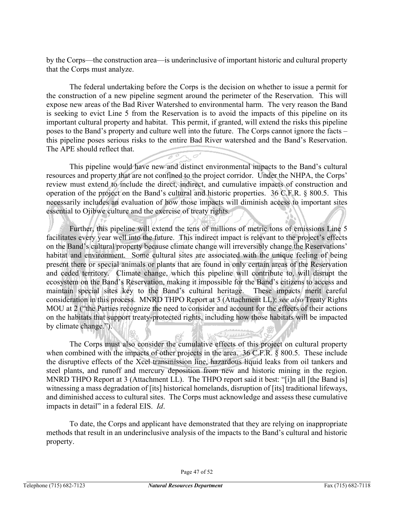by the Corps—the construction area—is underinclusive of important historic and cultural property that the Corps must analyze.

The federal undertaking before the Corps is the decision on whether to issue a permit for the construction of a new pipeline segment around the perimeter of the Reservation. This will expose new areas of the Bad River Watershed to environmental harm. The very reason the Band is seeking to evict Line 5 from the Reservation is to avoid the impacts of this pipeline on its important cultural property and habitat. This permit, if granted, will extend the risks this pipeline poses to the Band's property and culture well into the future. The Corps cannot ignore the facts – this pipeline poses serious risks to the entire Bad River watershed and the Band's Reservation. The APE should reflect that.

This pipeline would have new and distinct environmental impacts to the Band's cultural resources and property that are not confined to the project corridor. Under the NHPA, the Corps' review must extend to include the direct, indirect, and cumulative impacts of construction and operation of the project on the Band's cultural and historic properties. 36 C.F.R. § 800.5. This necessarily includes an evaluation of how those impacts will diminish access to important sites essential to Ojibwe culture and the exercise of treaty rights.

Further, this pipeline will extend the tens of millions of metric tons of emissions Line 5 facilitates every year well into the future. This indirect impact is relevant to the project's effects on the Band's cultural property because climate change will irreversibly change the Reservations' habitat and environment. Some cultural sites are associated with the unique feeling of being present there or special animals or plants that are found in only certain areas of the Reservation and ceded territory. Climate change, which this pipeline will contribute to, will disrupt the ecosystem on the Band's Reservation, making it impossible for the Band's citizens to access and maintain special sites key to the Band's cultural heritage. These impacts merit careful consideration in this process. MNRD THPO Report at 3 (Attachment LL); *see also* Treaty Rights MOU at 2 ("the Parties recognize the need to consider and account for the effects of their actions on the habitats that support treaty-protected rights, including how those habitats will be impacted by climate change.").

The Corps must also consider the cumulative effects of this project on cultural property when combined with the impacts of other projects in the area. 36 C.F.R. § 800.5. These include the disruptive effects of the Xcel transmission line, hazardous liquid leaks from oil tankers and steel plants, and runoff and mercury deposition from new and historic mining in the region. MNRD THPO Report at 3 (Attachment LL). The THPO report said it best: "[i]n all [the Band is] witnessing a mass degradation of [its] historical homelands, disruption of [its] traditional lifeways, and diminished access to cultural sites. The Corps must acknowledge and assess these cumulative impacts in detail" in a federal EIS. *Id*.

بالأزار برودا

To date, the Corps and applicant have demonstrated that they are relying on inappropriate methods that result in an underinclusive analysis of the impacts to the Band's cultural and historic property.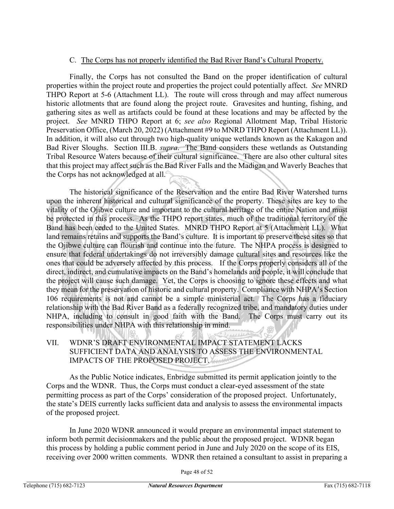#### C. The Corps has not properly identified the Bad River Band's Cultural Property.

Finally, the Corps has not consulted the Band on the proper identification of cultural properties within the project route and properties the project could potentially affect. *See* MNRD THPO Report at 5-6 (Attachment LL). The route will cross through and may affect numerous historic allotments that are found along the project route. Gravesites and hunting, fishing, and gathering sites as well as artifacts could be found at these locations and may be affected by the project. *See* MNRD THPO Report at 6; *see also* Regional Allotment Map, Tribal Historic Preservation Office, (March 20, 2022) (Attachment #9 to MNRD THPO Report (Attachment LL)). In addition, it will also cut through two high-quality unique wetlands known as the Kakagon and Bad River Sloughs. Section III.B. *supra*. The Band considers these wetlands as Outstanding Tribal Resource Waters because of their cultural significance. There are also other cultural sites that this project may affect such as the Bad River Falls and the Madigan and Waverly Beaches that the Corps has not acknowledged at all.

The historical significance of the Reservation and the entire Bad River Watershed turns upon the inherent historical and cultural significance of the property. These sites are key to the vitality of the Ojibwe culture and important to the cultural heritage of the entire Nation and must be protected in this process. As the THPO report states, much of the traditional territory of the Band has been ceded to the United States. MNRD THPO Report at 5 (Attachment LL). What land remains retains and supports the Band's culture. It is important to preserve these sites so that the Ojibwe culture can flourish and continue into the future. The NHPA process is designed to ensure that federal undertakings do not irreversibly damage cultural sites and resources like the ones that could be adversely affected by this process. If the Corps properly considers all of the direct, indirect, and cumulative impacts on the Band's homelands and people, it will conclude that the project will cause such damage. Yet, the Corps is choosing to ignore these effects and what they mean for the preservation of historic and cultural property. Compliance with NHPA's Section 106 requirements is not and cannot be a simple ministerial act. The Corps has a fiduciary relationship with the Bad River Band as a federally recognized tribe, and mandatory duties under NHPA, including to consult in good faith with the Band. The Corps must carry out its responsibilities under NHPA with this relationship in mind.

## VII. WDNR'S DRAFT ENVIRONMENTAL IMPACT STATEMENT LACKS SUFFICIENT DATA AND ANALYSIS TO ASSESS THE ENVIRONMENTAL IMPACTS OF THE PROPOSED PROJECT.

As the Public Notice indicates, Enbridge submitted its permit application jointly to the Corps and the WDNR. Thus, the Corps must conduct a clear-eyed assessment of the state permitting process as part of the Corps' consideration of the proposed project. Unfortunately, the state's DEIS currently lacks sufficient data and analysis to assess the environmental impacts of the proposed project.

In June 2020 WDNR announced it would prepare an environmental impact statement to inform both permit decisionmakers and the public about the proposed project. WDNR began this process by holding a public comment period in June and July 2020 on the scope of its EIS, receiving over 2000 written comments. WDNR then retained a consultant to assist in preparing a

Page 48 of 52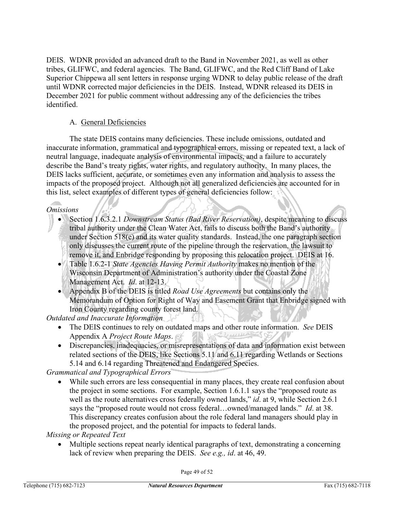DEIS. WDNR provided an advanced draft to the Band in November 2021, as well as other tribes, GLIFWC, and federal agencies. The Band, GLIFWC, and the Red Cliff Band of Lake Superior Chippewa all sent letters in response urging WDNR to delay public release of the draft until WDNR corrected major deficiencies in the DEIS. Instead, WDNR released its DEIS in December 2021 for public comment without addressing any of the deficiencies the tribes identified.

## A. General Deficiencies

The state DEIS contains many deficiencies. These include omissions, outdated and inaccurate information, grammatical and typographical errors, missing or repeated text, a lack of neutral language, inadequate analysis of environmental impacts, and a failure to accurately describe the Band's treaty rights, water rights, and regulatory authority. In many places, the DEIS lacks sufficient, accurate, or sometimes even any information and analysis to assess the impacts of the proposed project. Although not all generalized deficiencies are accounted for in this list, select examples of different types of general deficiencies follow:

#### *Omissions*

- Section 1.6.3.2.1 *Downstream Status (Bad River Reservation)*, despite meaning to discuss tribal authority under the Clean Water Act, fails to discuss both the Band's authority under Section 518(e) and its water quality standards. Instead, the one paragraph section only discusses the current route of the pipeline through the reservation, the lawsuit to remove it, and Enbridge responding by proposing this relocation project. DEIS at 16.
- Table 1.6.2-1 *State Agencies Having Permit Authority* makes no mention of the Wisconsin Department of Administration's authority under the Coastal Zone Management Act. *Id*. at 12-13.
- Appendix B of the DEIS is titled *Road Use Agreements* but contains only the Memorandum of Option for Right of Way and Easement Grant that Enbridge signed with Iron County regarding county forest land.

*Outdated and Inaccurate Information*

- The DEIS continues to rely on outdated maps and other route information. *See* DEIS Appendix A *Project Route Maps*.
- Discrepancies, inadequacies, or misrepresentations of data and information exist between related sections of the DEIS, like Sections 5.11 and 6.11 regarding Wetlands or Sections 5.14 and 6.14 regarding Threatened and Endangered Species.

*Grammatical and Typographical Errors*

• While such errors are less consequential in many places, they create real confusion about the project in some sections. For example, Section 1.6.1.1 says the "proposed route as well as the route alternatives cross federally owned lands," *id*. at 9, while Section 2.6.1 says the "proposed route would not cross federal…owned/managed lands." *Id*. at 38. This discrepancy creates confusion about the role federal land managers should play in the proposed project, and the potential for impacts to federal lands.

*Missing or Repeated Text*

• Multiple sections repeat nearly identical paragraphs of text, demonstrating a concerning lack of review when preparing the DEIS. *See e.g., id*. at 46, 49.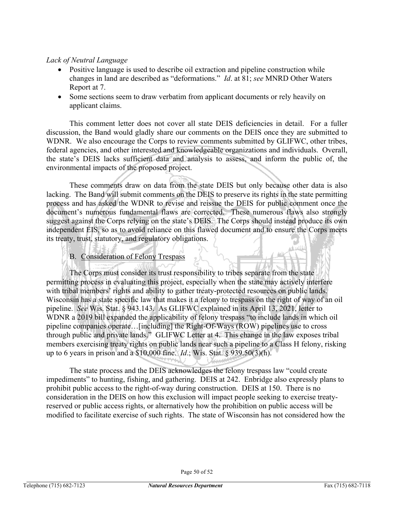## *Lack of Neutral Language*

- Positive language is used to describe oil extraction and pipeline construction while changes in land are described as "deformations." *Id*. at 81; *see* MNRD Other Waters Report at 7.
- Some sections seem to draw verbatim from applicant documents or rely heavily on applicant claims.

This comment letter does not cover all state DEIS deficiencies in detail. For a fuller discussion, the Band would gladly share our comments on the DEIS once they are submitted to WDNR. We also encourage the Corps to review comments submitted by GLIFWC, other tribes, federal agencies, and other interested and knowledgeable organizations and individuals. Overall, the state's DEIS lacks sufficient data and analysis to assess, and inform the public of, the environmental impacts of the proposed project.

These comments draw on data from the state DEIS but only because other data is also lacking. The Band will submit comments on the DEIS to preserve its rights in the state permitting process and has asked the WDNR to revise and reissue the DEIS for public comment once the document's numerous fundamental flaws are corrected. These numerous flaws also strongly suggest against the Corps relying on the state's DEIS. The Corps should instead produce its own independent EIS, so as to avoid reliance on this flawed document and to ensure the Corps meets its treaty, trust, statutory, and regulatory obligations.

## B. Consideration of Felony Trespass

The Corps must consider its trust responsibility to tribes separate from the state permitting process in evaluating this project, especially when the state may actively interfere with tribal members' rights and ability to gather treaty-protected resources on public lands. Wisconsin has a state specific law that makes it a felony to trespass on the right of way of an oil pipeline. *See* Wis. Stat. § 943.143. As GLIFWC explained in its April 13, 2021, letter to WDNR a 2019 bill expanded the applicability of felony trespass "to include lands in which oil pipeline companies operate…[including] the Right-Of-Ways (ROW) pipelines use to cross through public and private lands." GLIFWC Letter at 4. This change in the law exposes tribal members exercising treaty rights on public lands near such a pipeline to a Class H felony, risking up to 6 years in prison and a \$10,000 fine. *Id*.; Wis. Stat. § 939.50(3)(h).

The state process and the DEIS acknowledges the felony trespass law "could create impediments" to hunting, fishing, and gathering. DEIS at 242. Enbridge also expressly plans to prohibit public access to the right-of-way during construction. DEIS at 150. There is no consideration in the DEIS on how this exclusion will impact people seeking to exercise treatyreserved or public access rights, or alternatively how the prohibition on public access will be modified to facilitate exercise of such rights. The state of Wisconsin has not considered how the

لللحف

Aulie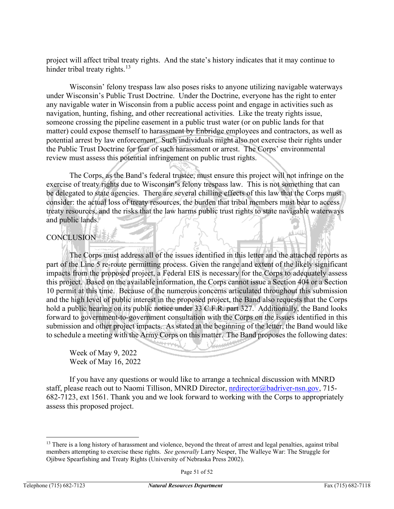project will affect tribal treaty rights. And the state's history indicates that it may continue to hinder tribal treaty rights. $13$ 

Wisconsin' felony trespass law also poses risks to anyone utilizing navigable waterways under Wisconsin's Public Trust Doctrine. Under the Doctrine, everyone has the right to enter any navigable water in Wisconsin from a public access point and engage in activities such as navigation, hunting, fishing, and other recreational activities. Like the treaty rights issue, someone crossing the pipeline easement in a public trust water (or on public lands for that matter) could expose themself to harassment by Enbridge employees and contractors, as well as potential arrest by law enforcement. Such individuals might also not exercise their rights under the Public Trust Doctrine for fear of such harassment or arrest. The Corps' environmental review must assess this potential infringement on public trust rights.

The Corps, as the Band's federal trustee, must ensure this project will not infringe on the exercise of treaty rights due to Wisconsin's felony trespass law. This is not something that can be delegated to state agencies. There are several chilling effects of this law that the Corps must consider: the actual loss of treaty resources, the burden that tribal members must bear to access treaty resources, and the risks that the law harms public trust rights to state navigable waterways and public lands.

## **CONCLUSION**

The Corps must address all of the issues identified in this letter and the attached reports as part of the Line 5 re-route permitting process. Given the range and extent of the likely significant impacts from the proposed project, a Federal EIS is necessary for the Corps to adequately assess this project. Based on the available information, the Corps cannot issue a Section 404 or a Section 10 permit at this time. Because of the numerous concerns articulated throughout this submission and the high level of public interest in the proposed project, the Band also requests that the Corps hold a public hearing on its public notice under 33 C.F.R. part 327. Additionally, the Band looks forward to government-to-government consultation with the Corps on the issues identified in this submission and other project impacts. As stated at the beginning of the letter, the Band would like to schedule a meeting with the Army Corps on this matter. The Band proposes the following dates:

Week of May 9, 2022 Week of May 16, 2022

If you have any questions or would like to arrange a technical discussion with MNRD staff, please reach out to Naomi Tillison, MNRD Director, [nrdirector@badriver-nsn.gov,](mailto:nrdirector@badriver-nsn.gov) 715-682-7123, ext 1561. Thank you and we look forward to working with the Corps to appropriately assess this proposed project.

<span id="page-50-0"></span><sup>&</sup>lt;sup>13</sup> There is a long history of harassment and violence, beyond the threat of arrest and legal penalties, against tribal members attempting to exercise these rights. *See generally* Larry Nesper, The Walleye War: The Struggle for Ojibwe Spearfishing and Treaty Rights (University of Nebraska Press 2002).